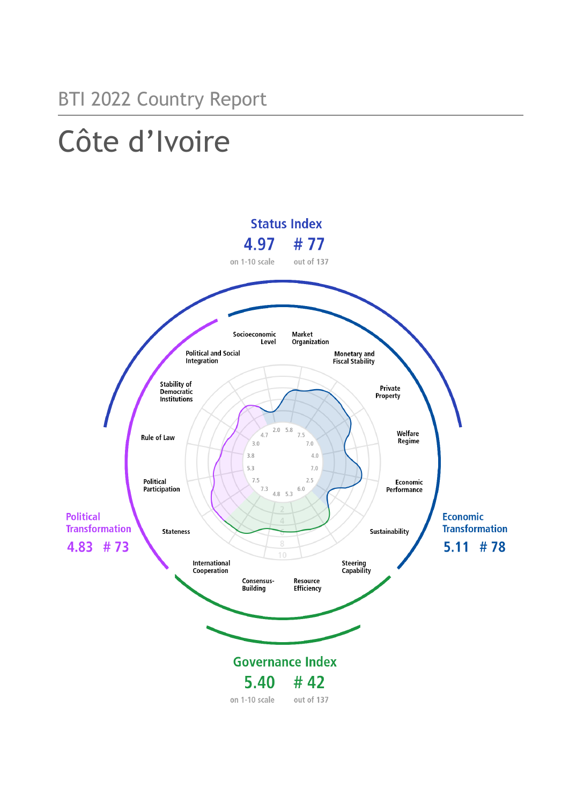### BTI 2022 Country Report

# Côte d'Ivoire

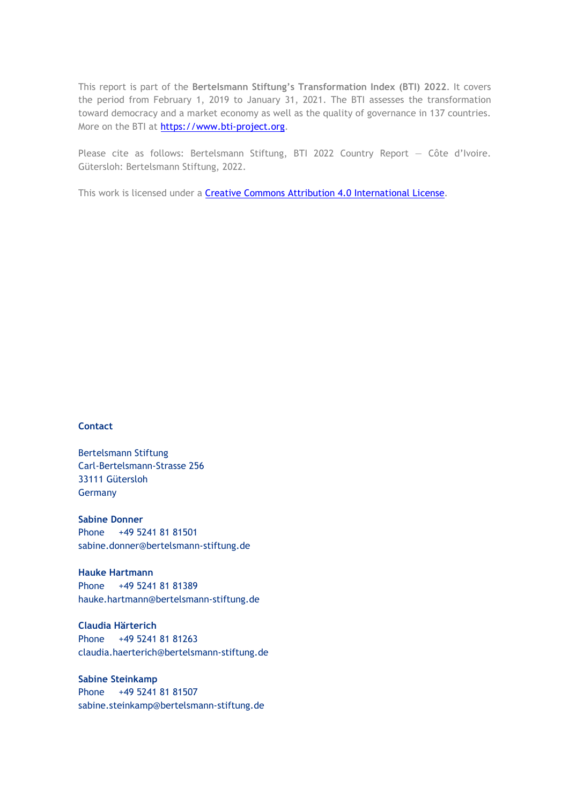This report is part of the **Bertelsmann Stiftung's Transformation Index (BTI) 2022**. It covers the period from February 1, 2019 to January 31, 2021. The BTI assesses the transformation toward democracy and a market economy as well as the quality of governance in 137 countries. More on the BTI at [https://www.bti-project.org.](https://www.bti-project.org/)

Please cite as follows: Bertelsmann Stiftung, BTI 2022 Country Report — Côte d'Ivoire. Gütersloh: Bertelsmann Stiftung, 2022.

This work is licensed under a **Creative Commons Attribution 4.0 International License**.

#### **Contact**

Bertelsmann Stiftung Carl-Bertelsmann-Strasse 256 33111 Gütersloh Germany

**Sabine Donner** Phone +49 5241 81 81501 sabine.donner@bertelsmann-stiftung.de

**Hauke Hartmann** Phone +49 5241 81 81389 hauke.hartmann@bertelsmann-stiftung.de

**Claudia Härterich** Phone +49 5241 81 81263 claudia.haerterich@bertelsmann-stiftung.de

#### **Sabine Steinkamp** Phone +49 5241 81 81507 sabine.steinkamp@bertelsmann-stiftung.de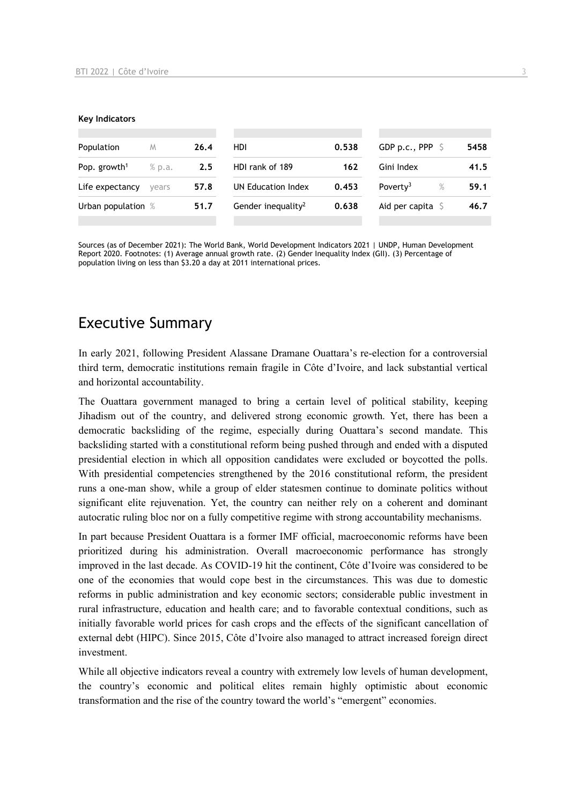#### **Key Indicators**

| Population                         | M     | 26.4 | HDI                            | 0.538 | GDP p.c., PPP $\ S$          | 5458 |
|------------------------------------|-------|------|--------------------------------|-------|------------------------------|------|
| Pop. growth <sup>1</sup><br>% p.a. |       | 2.5  | HDI rank of 189                | 162   | Gini Index                   | 41.5 |
| Life expectancy                    | vears | 57.8 | UN Education Index             | 0.453 | Poverty <sup>3</sup><br>$\%$ | 59.1 |
| Urban population %                 |       | 51.7 | Gender inequality <sup>2</sup> | 0.638 | Aid per capita $\sqrt{5}$    | 46.7 |
|                                    |       |      |                                |       |                              |      |

Sources (as of December 2021): The World Bank, World Development Indicators 2021 | UNDP, Human Development Report 2020. Footnotes: (1) Average annual growth rate. (2) Gender Inequality Index (GII). (3) Percentage of population living on less than \$3.20 a day at 2011 international prices.

### Executive Summary

In early 2021, following President Alassane Dramane Ouattara's re-election for a controversial third term, democratic institutions remain fragile in Côte d'Ivoire, and lack substantial vertical and horizontal accountability.

The Ouattara government managed to bring a certain level of political stability, keeping Jihadism out of the country, and delivered strong economic growth. Yet, there has been a democratic backsliding of the regime, especially during Ouattara's second mandate. This backsliding started with a constitutional reform being pushed through and ended with a disputed presidential election in which all opposition candidates were excluded or boycotted the polls. With presidential competencies strengthened by the 2016 constitutional reform, the president runs a one-man show, while a group of elder statesmen continue to dominate politics without significant elite rejuvenation. Yet, the country can neither rely on a coherent and dominant autocratic ruling bloc nor on a fully competitive regime with strong accountability mechanisms.

In part because President Ouattara is a former IMF official, macroeconomic reforms have been prioritized during his administration. Overall macroeconomic performance has strongly improved in the last decade. As COVID-19 hit the continent, Côte d'Ivoire was considered to be one of the economies that would cope best in the circumstances. This was due to domestic reforms in public administration and key economic sectors; considerable public investment in rural infrastructure, education and health care; and to favorable contextual conditions, such as initially favorable world prices for cash crops and the effects of the significant cancellation of external debt (HIPC). Since 2015, Côte d'Ivoire also managed to attract increased foreign direct investment.

While all objective indicators reveal a country with extremely low levels of human development, the country's economic and political elites remain highly optimistic about economic transformation and the rise of the country toward the world's "emergent" economies.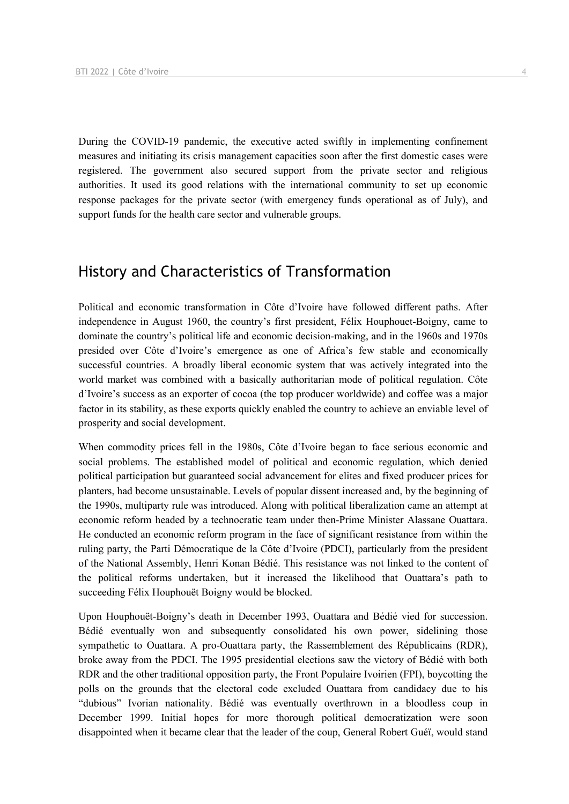During the COVID-19 pandemic, the executive acted swiftly in implementing confinement measures and initiating its crisis management capacities soon after the first domestic cases were registered. The government also secured support from the private sector and religious authorities. It used its good relations with the international community to set up economic response packages for the private sector (with emergency funds operational as of July), and support funds for the health care sector and vulnerable groups.

### History and Characteristics of Transformation

Political and economic transformation in Côte d'Ivoire have followed different paths. After independence in August 1960, the country's first president, Félix Houphouet-Boigny, came to dominate the country's political life and economic decision-making, and in the 1960s and 1970s presided over Côte d'Ivoire's emergence as one of Africa's few stable and economically successful countries. A broadly liberal economic system that was actively integrated into the world market was combined with a basically authoritarian mode of political regulation. Côte d'Ivoire's success as an exporter of cocoa (the top producer worldwide) and coffee was a major factor in its stability, as these exports quickly enabled the country to achieve an enviable level of prosperity and social development.

When commodity prices fell in the 1980s, Côte d'Ivoire began to face serious economic and social problems. The established model of political and economic regulation, which denied political participation but guaranteed social advancement for elites and fixed producer prices for planters, had become unsustainable. Levels of popular dissent increased and, by the beginning of the 1990s, multiparty rule was introduced. Along with political liberalization came an attempt at economic reform headed by a technocratic team under then-Prime Minister Alassane Ouattara. He conducted an economic reform program in the face of significant resistance from within the ruling party, the Parti Démocratique de la Côte d'Ivoire (PDCI), particularly from the president of the National Assembly, Henri Konan Bédié. This resistance was not linked to the content of the political reforms undertaken, but it increased the likelihood that Ouattara's path to succeeding Félix Houphouët Boigny would be blocked.

Upon Houphouët-Boigny's death in December 1993, Ouattara and Bédié vied for succession. Bédié eventually won and subsequently consolidated his own power, sidelining those sympathetic to Ouattara. A pro-Ouattara party, the Rassemblement des Républicains (RDR), broke away from the PDCI. The 1995 presidential elections saw the victory of Bédié with both RDR and the other traditional opposition party, the Front Populaire Ivoirien (FPI), boycotting the polls on the grounds that the electoral code excluded Ouattara from candidacy due to his "dubious" Ivorian nationality. Bédié was eventually overthrown in a bloodless coup in December 1999. Initial hopes for more thorough political democratization were soon disappointed when it became clear that the leader of the coup, General Robert Guéï, would stand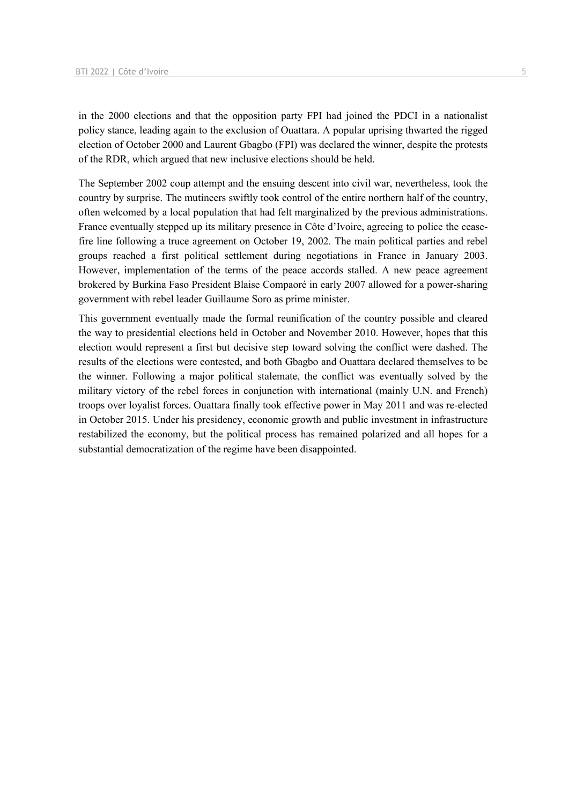in the 2000 elections and that the opposition party FPI had joined the PDCI in a nationalist policy stance, leading again to the exclusion of Ouattara. A popular uprising thwarted the rigged election of October 2000 and Laurent Gbagbo (FPI) was declared the winner, despite the protests of the RDR, which argued that new inclusive elections should be held.

The September 2002 coup attempt and the ensuing descent into civil war, nevertheless, took the country by surprise. The mutineers swiftly took control of the entire northern half of the country, often welcomed by a local population that had felt marginalized by the previous administrations. France eventually stepped up its military presence in Côte d'Ivoire, agreeing to police the ceasefire line following a truce agreement on October 19, 2002. The main political parties and rebel groups reached a first political settlement during negotiations in France in January 2003. However, implementation of the terms of the peace accords stalled. A new peace agreement brokered by Burkina Faso President Blaise Compaoré in early 2007 allowed for a power-sharing government with rebel leader Guillaume Soro as prime minister.

This government eventually made the formal reunification of the country possible and cleared the way to presidential elections held in October and November 2010. However, hopes that this election would represent a first but decisive step toward solving the conflict were dashed. The results of the elections were contested, and both Gbagbo and Ouattara declared themselves to be the winner. Following a major political stalemate, the conflict was eventually solved by the military victory of the rebel forces in conjunction with international (mainly U.N. and French) troops over loyalist forces. Ouattara finally took effective power in May 2011 and was re-elected in October 2015. Under his presidency, economic growth and public investment in infrastructure restabilized the economy, but the political process has remained polarized and all hopes for a substantial democratization of the regime have been disappointed.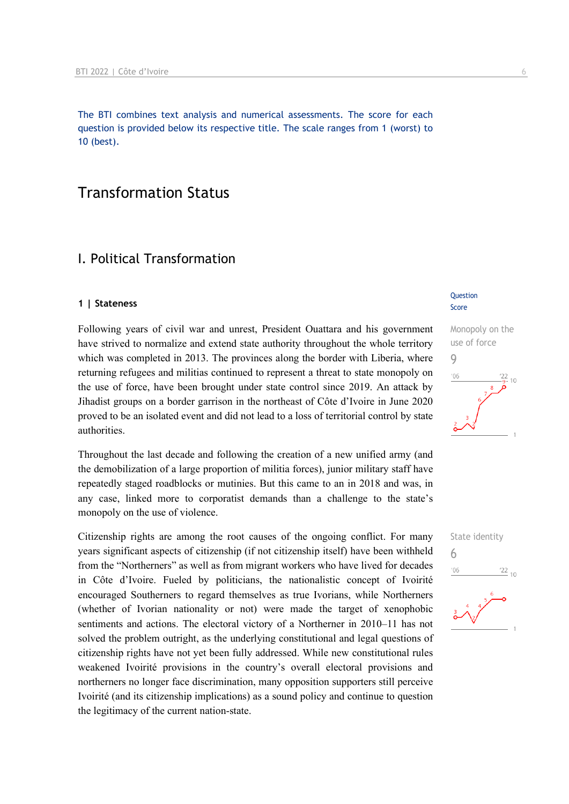The BTI combines text analysis and numerical assessments. The score for each question is provided below its respective title. The scale ranges from 1 (worst) to 10 (best).

#### Transformation Status

#### I. Political Transformation

#### **1 | Stateness**

Following years of civil war and unrest, President Ouattara and his government have strived to normalize and extend state authority throughout the whole territory which was completed in 2013. The provinces along the border with Liberia, where returning refugees and militias continued to represent a threat to state monopoly on the use of force, have been brought under state control since 2019. An attack by Jihadist groups on a border garrison in the northeast of Côte d'Ivoire in June 2020 proved to be an isolated event and did not lead to a loss of territorial control by state authorities.

Throughout the last decade and following the creation of a new unified army (and the demobilization of a large proportion of militia forces), junior military staff have repeatedly staged roadblocks or mutinies. But this came to an in 2018 and was, in any case, linked more to corporatist demands than a challenge to the state's monopoly on the use of violence.

Citizenship rights are among the root causes of the ongoing conflict. For many years significant aspects of citizenship (if not citizenship itself) have been withheld from the "Northerners" as well as from migrant workers who have lived for decades in Côte d'Ivoire. Fueled by politicians, the nationalistic concept of Ivoirité encouraged Southerners to regard themselves as true Ivorians, while Northerners (whether of Ivorian nationality or not) were made the target of xenophobic sentiments and actions. The electoral victory of a Northerner in 2010–11 has not solved the problem outright, as the underlying constitutional and legal questions of citizenship rights have not yet been fully addressed. While new constitutional rules weakened Ivoirité provisions in the country's overall electoral provisions and northerners no longer face discrimination, many opposition supporters still perceive Ivoirité (and its citizenship implications) as a sound policy and continue to question the legitimacy of the current nation-state.

#### **Question** Score

### Monopoly on the use of force 9  $106$  $10$

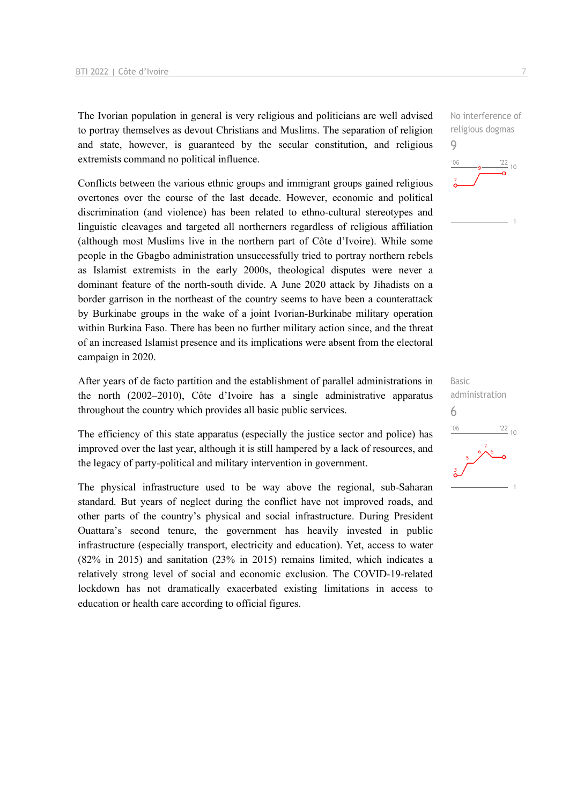The Ivorian population in general is very religious and politicians are well advised to portray themselves as devout Christians and Muslims. The separation of religion and state, however, is guaranteed by the secular constitution, and religious extremists command no political influence.

Conflicts between the various ethnic groups and immigrant groups gained religious overtones over the course of the last decade. However, economic and political discrimination (and violence) has been related to ethno-cultural stereotypes and linguistic cleavages and targeted all northerners regardless of religious affiliation (although most Muslims live in the northern part of Côte d'Ivoire). While some people in the Gbagbo administration unsuccessfully tried to portray northern rebels as Islamist extremists in the early 2000s, theological disputes were never a dominant feature of the north-south divide. A June 2020 attack by Jihadists on a border garrison in the northeast of the country seems to have been a counterattack by Burkinabe groups in the wake of a joint Ivorian-Burkinabe military operation within Burkina Faso. There has been no further military action since, and the threat of an increased Islamist presence and its implications were absent from the electoral campaign in 2020.

After years of de facto partition and the establishment of parallel administrations in the north (2002–2010), Côte d'Ivoire has a single administrative apparatus throughout the country which provides all basic public services.

The efficiency of this state apparatus (especially the justice sector and police) has improved over the last year, although it is still hampered by a lack of resources, and the legacy of party-political and military intervention in government.

The physical infrastructure used to be way above the regional, sub-Saharan standard. But years of neglect during the conflict have not improved roads, and other parts of the country's physical and social infrastructure. During President Ouattara's second tenure, the government has heavily invested in public infrastructure (especially transport, electricity and education). Yet, access to water (82% in 2015) and sanitation (23% in 2015) remains limited, which indicates a relatively strong level of social and economic exclusion. The COVID-19-related lockdown has not dramatically exacerbated existing limitations in access to education or health care according to official figures.

No interference of religious dogmas 9  $-06$  $\frac{22}{10}$ 



Basic administration 6 $-06$  $\frac{22}{10}$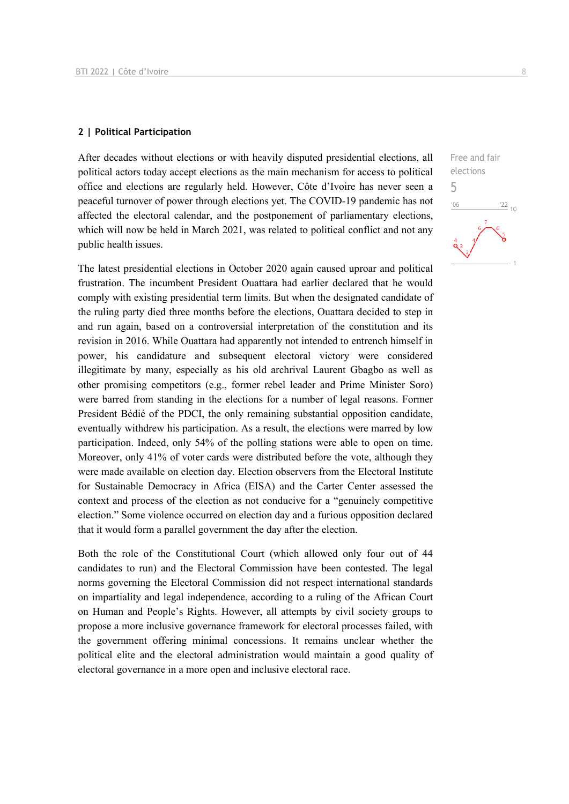#### **2 | Political Participation**

After decades without elections or with heavily disputed presidential elections, all political actors today accept elections as the main mechanism for access to political office and elections are regularly held. However, Côte d'Ivoire has never seen a peaceful turnover of power through elections yet. The COVID-19 pandemic has not affected the electoral calendar, and the postponement of parliamentary elections, which will now be held in March 2021, was related to political conflict and not any public health issues.

The latest presidential elections in October 2020 again caused uproar and political frustration. The incumbent President Ouattara had earlier declared that he would comply with existing presidential term limits. But when the designated candidate of the ruling party died three months before the elections, Ouattara decided to step in and run again, based on a controversial interpretation of the constitution and its revision in 2016. While Ouattara had apparently not intended to entrench himself in power, his candidature and subsequent electoral victory were considered illegitimate by many, especially as his old archrival Laurent Gbagbo as well as other promising competitors (e.g., former rebel leader and Prime Minister Soro) were barred from standing in the elections for a number of legal reasons. Former President Bédié of the PDCI, the only remaining substantial opposition candidate, eventually withdrew his participation. As a result, the elections were marred by low participation. Indeed, only 54% of the polling stations were able to open on time. Moreover, only 41% of voter cards were distributed before the vote, although they were made available on election day. Election observers from the Electoral Institute for Sustainable Democracy in Africa (EISA) and the Carter Center assessed the context and process of the election as not conducive for a "genuinely competitive election." Some violence occurred on election day and a furious opposition declared that it would form a parallel government the day after the election.

Both the role of the Constitutional Court (which allowed only four out of 44 candidates to run) and the Electoral Commission have been contested. The legal norms governing the Electoral Commission did not respect international standards on impartiality and legal independence, according to a ruling of the African Court on Human and People's Rights. However, all attempts by civil society groups to propose a more inclusive governance framework for electoral processes failed, with the government offering minimal concessions. It remains unclear whether the political elite and the electoral administration would maintain a good quality of electoral governance in a more open and inclusive electoral race.

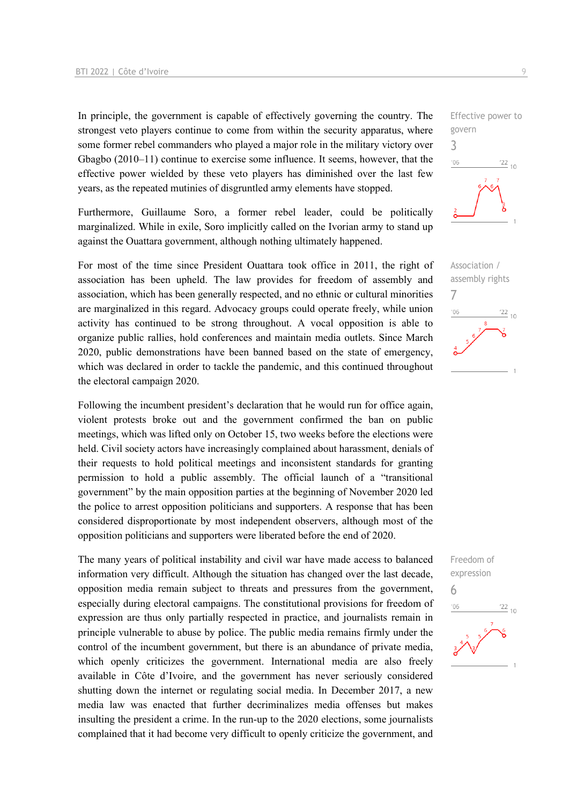In principle, the government is capable of effectively governing the country. The strongest veto players continue to come from within the security apparatus, where some former rebel commanders who played a major role in the military victory over Gbagbo (2010–11) continue to exercise some influence. It seems, however, that the effective power wielded by these veto players has diminished over the last few years, as the repeated mutinies of disgruntled army elements have stopped.

Furthermore, Guillaume Soro, a former rebel leader, could be politically marginalized. While in exile, Soro implicitly called on the Ivorian army to stand up against the Ouattara government, although nothing ultimately happened.

For most of the time since President Ouattara took office in 2011, the right of association has been upheld. The law provides for freedom of assembly and association, which has been generally respected, and no ethnic or cultural minorities are marginalized in this regard. Advocacy groups could operate freely, while union activity has continued to be strong throughout. A vocal opposition is able to organize public rallies, hold conferences and maintain media outlets. Since March 2020, public demonstrations have been banned based on the state of emergency, which was declared in order to tackle the pandemic, and this continued throughout the electoral campaign 2020.

Following the incumbent president's declaration that he would run for office again, violent protests broke out and the government confirmed the ban on public meetings, which was lifted only on October 15, two weeks before the elections were held. Civil society actors have increasingly complained about harassment, denials of their requests to hold political meetings and inconsistent standards for granting permission to hold a public assembly. The official launch of a "transitional government" by the main opposition parties at the beginning of November 2020 led the police to arrest opposition politicians and supporters. A response that has been considered disproportionate by most independent observers, although most of the opposition politicians and supporters were liberated before the end of 2020.

The many years of political instability and civil war have made access to balanced information very difficult. Although the situation has changed over the last decade, opposition media remain subject to threats and pressures from the government, especially during electoral campaigns. The constitutional provisions for freedom of expression are thus only partially respected in practice, and journalists remain in principle vulnerable to abuse by police. The public media remains firmly under the control of the incumbent government, but there is an abundance of private media, which openly criticizes the government. International media are also freely available in Côte d'Ivoire, and the government has never seriously considered shutting down the internet or regulating social media. In December 2017, a new media law was enacted that further decriminalizes media offenses but makes insulting the president a crime. In the run-up to the 2020 elections, some journalists complained that it had become very difficult to openly criticize the government, and





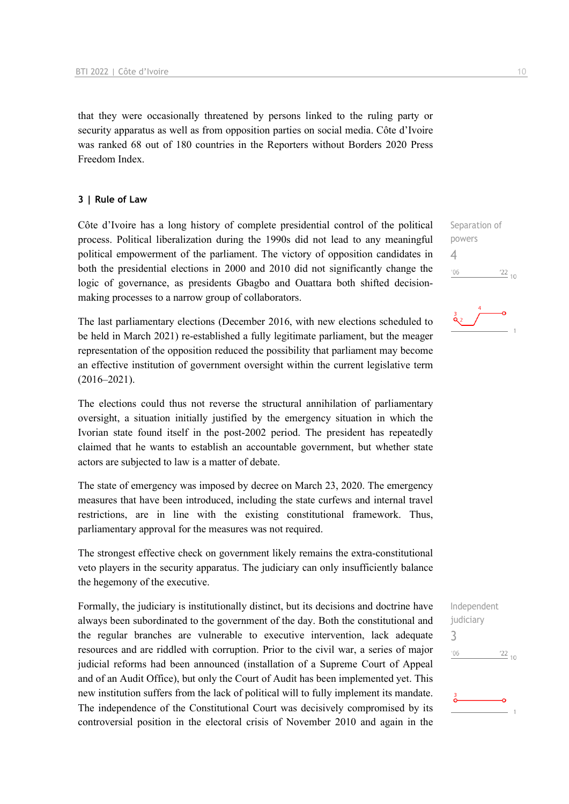that they were occasionally threatened by persons linked to the ruling party or security apparatus as well as from opposition parties on social media. Côte d'Ivoire was ranked 68 out of 180 countries in the Reporters without Borders 2020 Press Freedom Index.

#### **3 | Rule of Law**

Côte d'Ivoire has a long history of complete presidential control of the political process. Political liberalization during the 1990s did not lead to any meaningful political empowerment of the parliament. The victory of opposition candidates in both the presidential elections in 2000 and 2010 did not significantly change the logic of governance, as presidents Gbagbo and Ouattara both shifted decisionmaking processes to a narrow group of collaborators.

The last parliamentary elections (December 2016, with new elections scheduled to be held in March 2021) re-established a fully legitimate parliament, but the meager representation of the opposition reduced the possibility that parliament may become an effective institution of government oversight within the current legislative term  $(2016 - 2021)$ .

The elections could thus not reverse the structural annihilation of parliamentary oversight, a situation initially justified by the emergency situation in which the Ivorian state found itself in the post-2002 period. The president has repeatedly claimed that he wants to establish an accountable government, but whether state actors are subjected to law is a matter of debate.

The state of emergency was imposed by decree on March 23, 2020. The emergency measures that have been introduced, including the state curfews and internal travel restrictions, are in line with the existing constitutional framework. Thus, parliamentary approval for the measures was not required.

The strongest effective check on government likely remains the extra-constitutional veto players in the security apparatus. The judiciary can only insufficiently balance the hegemony of the executive.

Formally, the judiciary is institutionally distinct, but its decisions and doctrine have always been subordinated to the government of the day. Both the constitutional and the regular branches are vulnerable to executive intervention, lack adequate resources and are riddled with corruption. Prior to the civil war, a series of major judicial reforms had been announced (installation of a Supreme Court of Appeal and of an Audit Office), but only the Court of Audit has been implemented yet. This new institution suffers from the lack of political will to fully implement its mandate. The independence of the Constitutional Court was decisively compromised by its controversial position in the electoral crisis of November 2010 and again in the

Separation of powers 4  $n<sub>6</sub>$  $\frac{22}{10}$ 



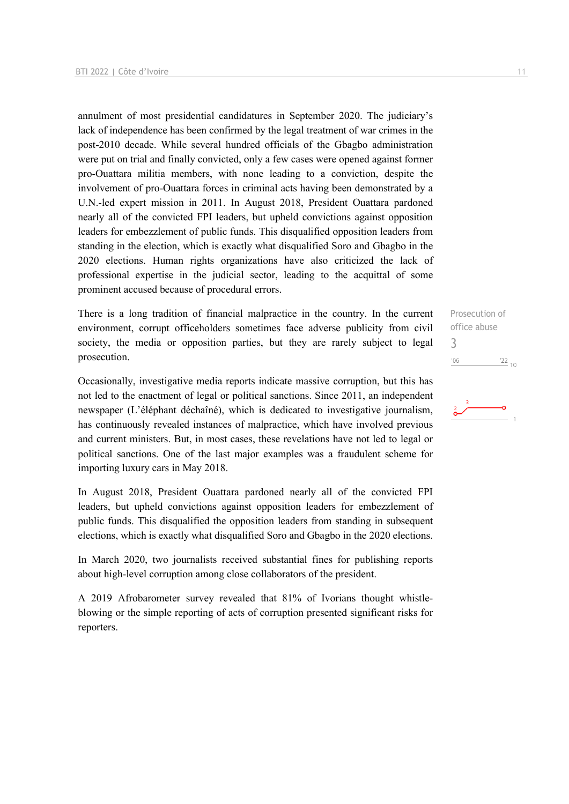annulment of most presidential candidatures in September 2020. The judiciary's lack of independence has been confirmed by the legal treatment of war crimes in the post-2010 decade. While several hundred officials of the Gbagbo administration were put on trial and finally convicted, only a few cases were opened against former pro-Ouattara militia members, with none leading to a conviction, despite the involvement of pro-Ouattara forces in criminal acts having been demonstrated by a U.N.-led expert mission in 2011. In August 2018, President Ouattara pardoned nearly all of the convicted FPI leaders, but upheld convictions against opposition leaders for embezzlement of public funds. This disqualified opposition leaders from standing in the election, which is exactly what disqualified Soro and Gbagbo in the 2020 elections. Human rights organizations have also criticized the lack of professional expertise in the judicial sector, leading to the acquittal of some prominent accused because of procedural errors.

There is a long tradition of financial malpractice in the country. In the current environment, corrupt officeholders sometimes face adverse publicity from civil society, the media or opposition parties, but they are rarely subject to legal prosecution.

Occasionally, investigative media reports indicate massive corruption, but this has not led to the enactment of legal or political sanctions. Since 2011, an independent newspaper (L'éléphant déchaîné), which is dedicated to investigative journalism, has continuously revealed instances of malpractice, which have involved previous and current ministers. But, in most cases, these revelations have not led to legal or political sanctions. One of the last major examples was a fraudulent scheme for importing luxury cars in May 2018.

In August 2018, President Ouattara pardoned nearly all of the convicted FPI leaders, but upheld convictions against opposition leaders for embezzlement of public funds. This disqualified the opposition leaders from standing in subsequent elections, which is exactly what disqualified Soro and Gbagbo in the 2020 elections.

In March 2020, two journalists received substantial fines for publishing reports about high-level corruption among close collaborators of the president.

A 2019 Afrobarometer survey revealed that 81% of Ivorians thought whistleblowing or the simple reporting of acts of corruption presented significant risks for reporters.

Prosecution of office abuse 3 $^{\prime}06$  $\frac{22}{10}$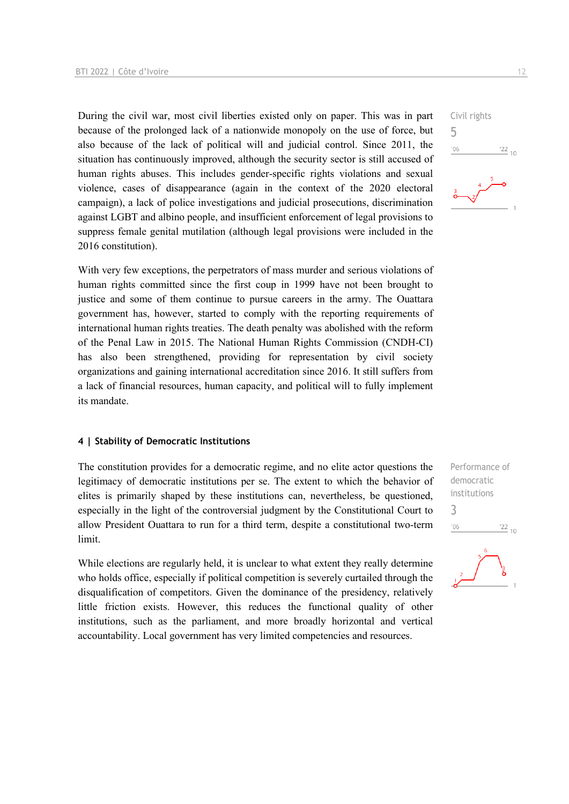During the civil war, most civil liberties existed only on paper. This was in part because of the prolonged lack of a nationwide monopoly on the use of force, but also because of the lack of political will and judicial control. Since 2011, the situation has continuously improved, although the security sector is still accused of human rights abuses. This includes gender-specific rights violations and sexual violence, cases of disappearance (again in the context of the 2020 electoral campaign), a lack of police investigations and judicial prosecutions, discrimination against LGBT and albino people, and insufficient enforcement of legal provisions to suppress female genital mutilation (although legal provisions were included in the 2016 constitution).

With very few exceptions, the perpetrators of mass murder and serious violations of human rights committed since the first coup in 1999 have not been brought to justice and some of them continue to pursue careers in the army. The Ouattara government has, however, started to comply with the reporting requirements of international human rights treaties. The death penalty was abolished with the reform of the Penal Law in 2015. The National Human Rights Commission (CNDH-CI) has also been strengthened, providing for representation by civil society organizations and gaining international accreditation since 2016. It still suffers from a lack of financial resources, human capacity, and political will to fully implement its mandate.

#### **4 | Stability of Democratic Institutions**

The constitution provides for a democratic regime, and no elite actor questions the legitimacy of democratic institutions per se. The extent to which the behavior of elites is primarily shaped by these institutions can, nevertheless, be questioned, especially in the light of the controversial judgment by the Constitutional Court to allow President Ouattara to run for a third term, despite a constitutional two-term limit.

While elections are regularly held, it is unclear to what extent they really determine who holds office, especially if political competition is severely curtailed through the disqualification of competitors. Given the dominance of the presidency, relatively little friction exists. However, this reduces the functional quality of other institutions, such as the parliament, and more broadly horizontal and vertical accountability. Local government has very limited competencies and resources.



Performance of democratic institutions 3 $'06$  $\frac{22}{10}$ 

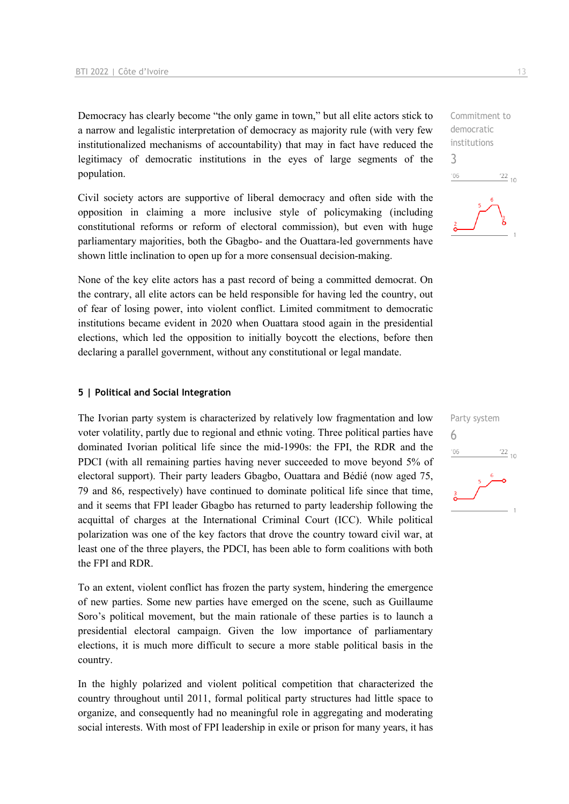Democracy has clearly become "the only game in town," but all elite actors stick to a narrow and legalistic interpretation of democracy as majority rule (with very few institutionalized mechanisms of accountability) that may in fact have reduced the legitimacy of democratic institutions in the eyes of large segments of the population.

Civil society actors are supportive of liberal democracy and often side with the opposition in claiming a more inclusive style of policymaking (including constitutional reforms or reform of electoral commission), but even with huge parliamentary majorities, both the Gbagbo- and the Ouattara-led governments have shown little inclination to open up for a more consensual decision-making.

None of the key elite actors has a past record of being a committed democrat. On the contrary, all elite actors can be held responsible for having led the country, out of fear of losing power, into violent conflict. Limited commitment to democratic institutions became evident in 2020 when Ouattara stood again in the presidential elections, which led the opposition to initially boycott the elections, before then declaring a parallel government, without any constitutional or legal mandate.

#### **5 | Political and Social Integration**

The Ivorian party system is characterized by relatively low fragmentation and low voter volatility, partly due to regional and ethnic voting. Three political parties have dominated Ivorian political life since the mid-1990s: the FPI, the RDR and the PDCI (with all remaining parties having never succeeded to move beyond 5% of electoral support). Their party leaders Gbagbo, Ouattara and Bédié (now aged 75, 79 and 86, respectively) have continued to dominate political life since that time, and it seems that FPI leader Gbagbo has returned to party leadership following the acquittal of charges at the International Criminal Court (ICC). While political polarization was one of the key factors that drove the country toward civil war, at least one of the three players, the PDCI, has been able to form coalitions with both the FPI and RDR.

To an extent, violent conflict has frozen the party system, hindering the emergence of new parties. Some new parties have emerged on the scene, such as Guillaume Soro's political movement, but the main rationale of these parties is to launch a presidential electoral campaign. Given the low importance of parliamentary elections, it is much more difficult to secure a more stable political basis in the country.

In the highly polarized and violent political competition that characterized the country throughout until 2011, formal political party structures had little space to organize, and consequently had no meaningful role in aggregating and moderating social interests. With most of FPI leadership in exile or prison for many years, it has

 $\frac{22}{10}$ 

Commitment to democratic institutions

Party system

 $\frac{22}{10}$ 

6

 $-06$ 

3

 $106$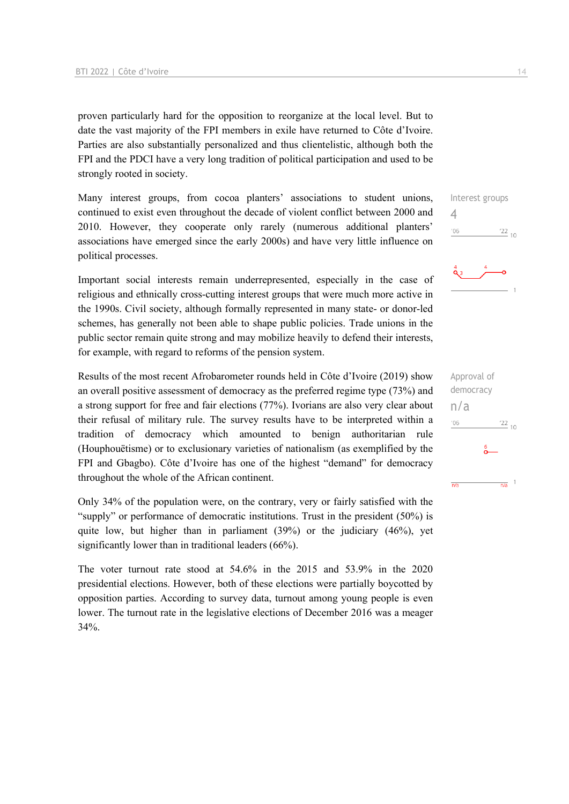proven particularly hard for the opposition to reorganize at the local level. But to date the vast majority of the FPI members in exile have returned to Côte d'Ivoire. Parties are also substantially personalized and thus clientelistic, although both the FPI and the PDCI have a very long tradition of political participation and used to be strongly rooted in society.

Many interest groups, from cocoa planters' associations to student unions, continued to exist even throughout the decade of violent conflict between 2000 and 2010. However, they cooperate only rarely (numerous additional planters' associations have emerged since the early 2000s) and have very little influence on political processes.

Important social interests remain underrepresented, especially in the case of religious and ethnically cross-cutting interest groups that were much more active in the 1990s. Civil society, although formally represented in many state- or donor-led schemes, has generally not been able to shape public policies. Trade unions in the public sector remain quite strong and may mobilize heavily to defend their interests, for example, with regard to reforms of the pension system.

Results of the most recent Afrobarometer rounds held in Côte d'Ivoire (2019) show an overall positive assessment of democracy as the preferred regime type (73%) and a strong support for free and fair elections (77%). Ivorians are also very clear about their refusal of military rule. The survey results have to be interpreted within a tradition of democracy which amounted to benign authoritarian rule (Houphouëtisme) or to exclusionary varieties of nationalism (as exemplified by the FPI and Gbagbo). Côte d'Ivoire has one of the highest "demand" for democracy throughout the whole of the African continent.

Only 34% of the population were, on the contrary, very or fairly satisfied with the "supply" or performance of democratic institutions. Trust in the president (50%) is quite low, but higher than in parliament (39%) or the judiciary (46%), yet significantly lower than in traditional leaders (66%).

The voter turnout rate stood at 54.6% in the 2015 and 53.9% in the 2020 presidential elections. However, both of these elections were partially boycotted by opposition parties. According to survey data, turnout among young people is even lower. The turnout rate in the legislative elections of December 2016 was a meager 34%.

Interest groups 4  $\frac{22}{10}$  $-06$ 



Approval of democracy n/a $106$  $^{22}$  10  $\frac{1}{n/a}$  1  $\overline{n/a}$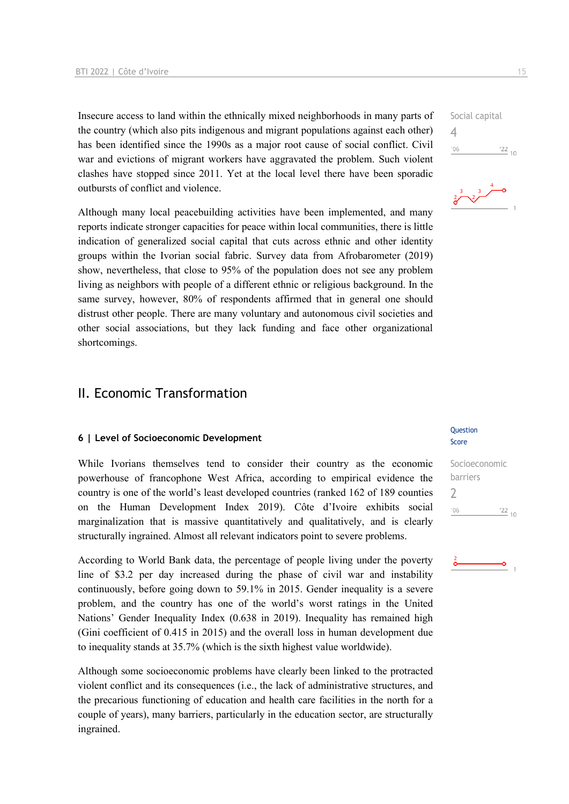Insecure access to land within the ethnically mixed neighborhoods in many parts of the country (which also pits indigenous and migrant populations against each other) has been identified since the 1990s as a major root cause of social conflict. Civil war and evictions of migrant workers have aggravated the problem. Such violent clashes have stopped since 2011. Yet at the local level there have been sporadic outbursts of conflict and violence.

Although many local peacebuilding activities have been implemented, and many reports indicate stronger capacities for peace within local communities, there is little indication of generalized social capital that cuts across ethnic and other identity groups within the Ivorian social fabric. Survey data from Afrobarometer (2019) show, nevertheless, that close to 95% of the population does not see any problem living as neighbors with people of a different ethnic or religious background. In the same survey, however, 80% of respondents affirmed that in general one should distrust other people. There are many voluntary and autonomous civil societies and other social associations, but they lack funding and face other organizational shortcomings.

#### II. Economic Transformation

#### **6 | Level of Socioeconomic Development**

While Ivorians themselves tend to consider their country as the economic powerhouse of francophone West Africa, according to empirical evidence the country is one of the world's least developed countries (ranked 162 of 189 counties on the Human Development Index 2019). Côte d'Ivoire exhibits social marginalization that is massive quantitatively and qualitatively, and is clearly structurally ingrained. Almost all relevant indicators point to severe problems.

According to World Bank data, the percentage of people living under the poverty line of \$3.2 per day increased during the phase of civil war and instability continuously, before going down to 59.1% in 2015. Gender inequality is a severe problem, and the country has one of the world's worst ratings in the United Nations' Gender Inequality Index (0.638 in 2019). Inequality has remained high (Gini coefficient of 0.415 in 2015) and the overall loss in human development due to inequality stands at 35.7% (which is the sixth highest value worldwide).

Although some socioeconomic problems have clearly been linked to the protracted violent conflict and its consequences (i.e., the lack of administrative structures, and the precarious functioning of education and health care facilities in the north for a couple of years), many barriers, particularly in the education sector, are structurally ingrained.

 $106$  $\frac{22}{10}$ 

4



#### Question Score

#### Socioeconomic barriers  $\overline{\phantom{0}}$  $106$  $\frac{22}{10}$

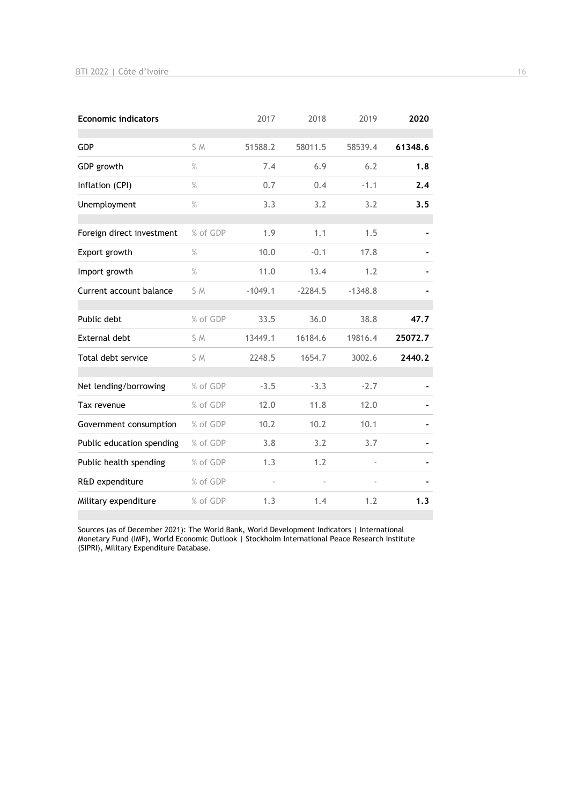| <b>Economic indicators</b> |          | 2017      | 2018      | 2019      | 2020    |
|----------------------------|----------|-----------|-----------|-----------|---------|
| GDP                        | S M      | 51588.2   | 58011.5   | 58539.4   | 61348.6 |
| GDP growth                 | $\%$     | 7.4       | 6.9       | 6.2       | 1.8     |
| Inflation (CPI)            | $\%$     | 0.7       | 0.4       | $-1.1$    | 2.4     |
| Unemployment               | %        | 3.3       | 3.2       | 3.2       | 3.5     |
| Foreign direct investment  | % of GDP | 1.9       | 1.1       | 1.5       |         |
| Export growth              | $\%$     | 10.0      | $-0.1$    | 17.8      |         |
| Import growth              | $\%$     | 11.0      | 13.4      | 1.2       |         |
| Current account balance    | \$ M     | $-1049.1$ | $-2284.5$ | $-1348.8$ |         |
| Public debt                | % of GDP | 33.5      | 36.0      | 38.8      | 47.7    |
| External debt              | \$ M     | 13449.1   | 16184.6   | 19816.4   | 25072.7 |
| Total debt service         | \$M      | 2248.5    | 1654.7    | 3002.6    | 2440.2  |
| Net lending/borrowing      | % of GDP | $-3.5$    | $-3.3$    | $-2.7$    |         |
| Tax revenue                | % of GDP | 12.0      | 11.8      | 12.0      |         |
| Government consumption     | % of GDP | 10.2      | 10.2      | 10.1      |         |
| Public education spending  | % of GDP | 3.8       | 3.2       | 3.7       |         |
| Public health spending     | % of GDP | 1.3       | 1.2       |           |         |
| R&D expenditure            | % of GDP |           |           |           |         |
| Military expenditure       | % of GDP | 1.3       | 1.4       | 1.2       | 1.3     |

Sources (as of December 2021): The World Bank, World Development Indicators | International Monetary Fund (IMF), World Economic Outlook | Stockholm International Peace Research Institute (SIPRI), Military Expenditure Database.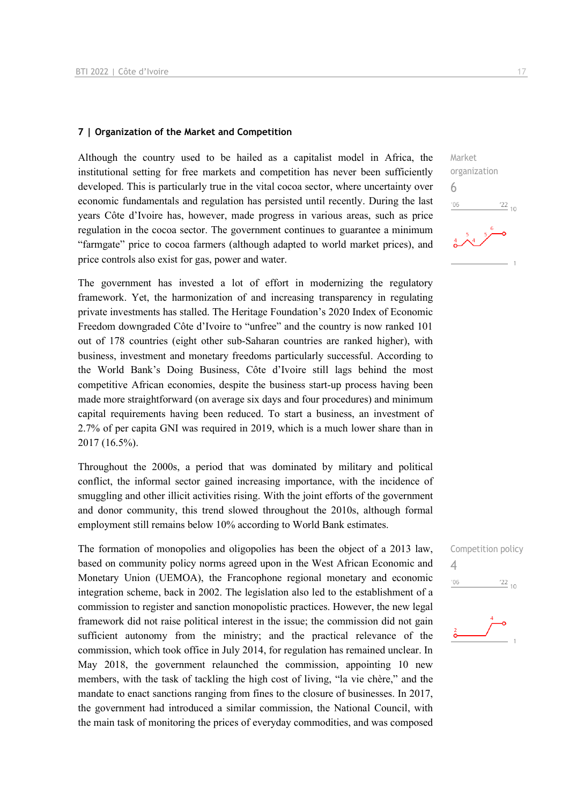#### **7 | Organization of the Market and Competition**

Although the country used to be hailed as a capitalist model in Africa, the institutional setting for free markets and competition has never been sufficiently developed. This is particularly true in the vital cocoa sector, where uncertainty over economic fundamentals and regulation has persisted until recently. During the last years Côte d'Ivoire has, however, made progress in various areas, such as price regulation in the cocoa sector. The government continues to guarantee a minimum "farmgate" price to cocoa farmers (although adapted to world market prices), and price controls also exist for gas, power and water.

The government has invested a lot of effort in modernizing the regulatory framework. Yet, the harmonization of and increasing transparency in regulating private investments has stalled. The Heritage Foundation's 2020 Index of Economic Freedom downgraded Côte d'Ivoire to "unfree" and the country is now ranked 101 out of 178 countries (eight other sub-Saharan countries are ranked higher), with business, investment and monetary freedoms particularly successful. According to the World Bank's Doing Business, Côte d'Ivoire still lags behind the most competitive African economies, despite the business start-up process having been made more straightforward (on average six days and four procedures) and minimum capital requirements having been reduced. To start a business, an investment of 2.7% of per capita GNI was required in 2019, which is a much lower share than in 2017 (16.5%).

Throughout the 2000s, a period that was dominated by military and political conflict, the informal sector gained increasing importance, with the incidence of smuggling and other illicit activities rising. With the joint efforts of the government and donor community, this trend slowed throughout the 2010s, although formal employment still remains below 10% according to World Bank estimates.

The formation of monopolies and oligopolies has been the object of a 2013 law, based on community policy norms agreed upon in the West African Economic and Monetary Union (UEMOA), the Francophone regional monetary and economic integration scheme, back in 2002. The legislation also led to the establishment of a commission to register and sanction monopolistic practices. However, the new legal framework did not raise political interest in the issue; the commission did not gain sufficient autonomy from the ministry; and the practical relevance of the commission, which took office in July 2014, for regulation has remained unclear. In May 2018, the government relaunched the commission, appointing 10 new members, with the task of tackling the high cost of living, "la vie chère," and the mandate to enact sanctions ranging from fines to the closure of businesses. In 2017, the government had introduced a similar commission, the National Council, with the main task of monitoring the prices of everyday commodities, and was composed

Market organization 6  $\frac{22}{10}$  $-06$ 

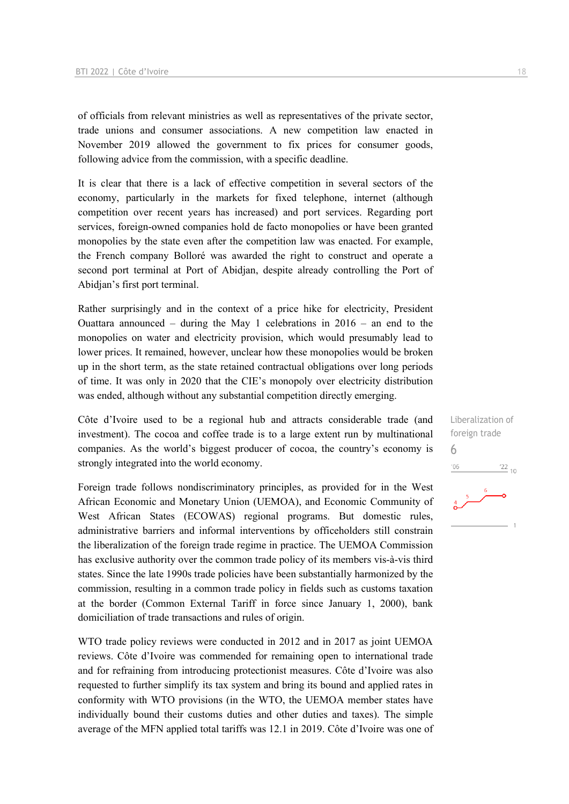of officials from relevant ministries as well as representatives of the private sector, trade unions and consumer associations. A new competition law enacted in November 2019 allowed the government to fix prices for consumer goods, following advice from the commission, with a specific deadline.

It is clear that there is a lack of effective competition in several sectors of the economy, particularly in the markets for fixed telephone, internet (although competition over recent years has increased) and port services. Regarding port services, foreign-owned companies hold de facto monopolies or have been granted monopolies by the state even after the competition law was enacted. For example, the French company Bolloré was awarded the right to construct and operate a second port terminal at Port of Abidjan, despite already controlling the Port of Abidjan's first port terminal.

Rather surprisingly and in the context of a price hike for electricity, President Ouattara announced – during the May 1 celebrations in  $2016$  – an end to the monopolies on water and electricity provision, which would presumably lead to lower prices. It remained, however, unclear how these monopolies would be broken up in the short term, as the state retained contractual obligations over long periods of time. It was only in 2020 that the CIE's monopoly over electricity distribution was ended, although without any substantial competition directly emerging.

Côte d'Ivoire used to be a regional hub and attracts considerable trade (and investment). The cocoa and coffee trade is to a large extent run by multinational companies. As the world's biggest producer of cocoa, the country's economy is strongly integrated into the world economy.

Foreign trade follows nondiscriminatory principles, as provided for in the West African Economic and Monetary Union (UEMOA), and Economic Community of West African States (ECOWAS) regional programs. But domestic rules, administrative barriers and informal interventions by officeholders still constrain the liberalization of the foreign trade regime in practice. The UEMOA Commission has exclusive authority over the common trade policy of its members vis-à-vis third states. Since the late 1990s trade policies have been substantially harmonized by the commission, resulting in a common trade policy in fields such as customs taxation at the border (Common External Tariff in force since January 1, 2000), bank domiciliation of trade transactions and rules of origin.

WTO trade policy reviews were conducted in 2012 and in 2017 as joint UEMOA reviews. Côte d'Ivoire was commended for remaining open to international trade and for refraining from introducing protectionist measures. Côte d'Ivoire was also requested to further simplify its tax system and bring its bound and applied rates in conformity with WTO provisions (in the WTO, the UEMOA member states have individually bound their customs duties and other duties and taxes). The simple average of the MFN applied total tariffs was 12.1 in 2019. Côte d'Ivoire was one of Liberalization of foreign trade 6 $^{22}$  10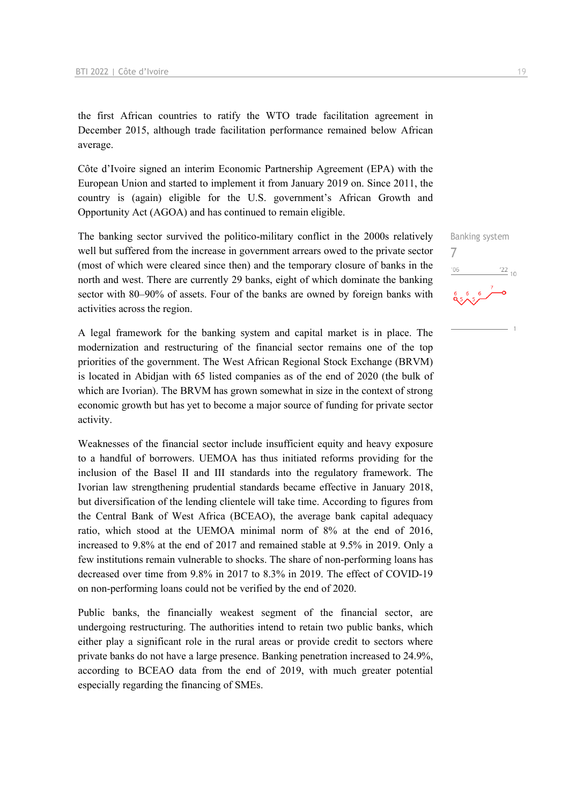the first African countries to ratify the WTO trade facilitation agreement in December 2015, although trade facilitation performance remained below African average.

Côte d'Ivoire signed an interim Economic Partnership Agreement (EPA) with the European Union and started to implement it from January 2019 on. Since 2011, the country is (again) eligible for the U.S. government's African Growth and Opportunity Act (AGOA) and has continued to remain eligible.

The banking sector survived the politico-military conflict in the 2000s relatively well but suffered from the increase in government arrears owed to the private sector (most of which were cleared since then) and the temporary closure of banks in the north and west. There are currently 29 banks, eight of which dominate the banking sector with 80–90% of assets. Four of the banks are owned by foreign banks with activities across the region.

A legal framework for the banking system and capital market is in place. The modernization and restructuring of the financial sector remains one of the top priorities of the government. The West African Regional Stock Exchange (BRVM) is located in Abidjan with 65 listed companies as of the end of 2020 (the bulk of which are Ivorian). The BRVM has grown somewhat in size in the context of strong economic growth but has yet to become a major source of funding for private sector activity.

Weaknesses of the financial sector include insufficient equity and heavy exposure to a handful of borrowers. UEMOA has thus initiated reforms providing for the inclusion of the Basel II and III standards into the regulatory framework. The Ivorian law strengthening prudential standards became effective in January 2018, but diversification of the lending clientele will take time. According to figures from the Central Bank of West Africa (BCEAO), the average bank capital adequacy ratio, which stood at the UEMOA minimal norm of 8% at the end of 2016, increased to 9.8% at the end of 2017 and remained stable at 9.5% in 2019. Only a few institutions remain vulnerable to shocks. The share of non-performing loans has decreased over time from 9.8% in 2017 to 8.3% in 2019. The effect of COVID-19 on non-performing loans could not be verified by the end of 2020.

Public banks, the financially weakest segment of the financial sector, are undergoing restructuring. The authorities intend to retain two public banks, which either play a significant role in the rural areas or provide credit to sectors where private banks do not have a large presence. Banking penetration increased to 24.9%, according to BCEAO data from the end of 2019, with much greater potential especially regarding the financing of SMEs.

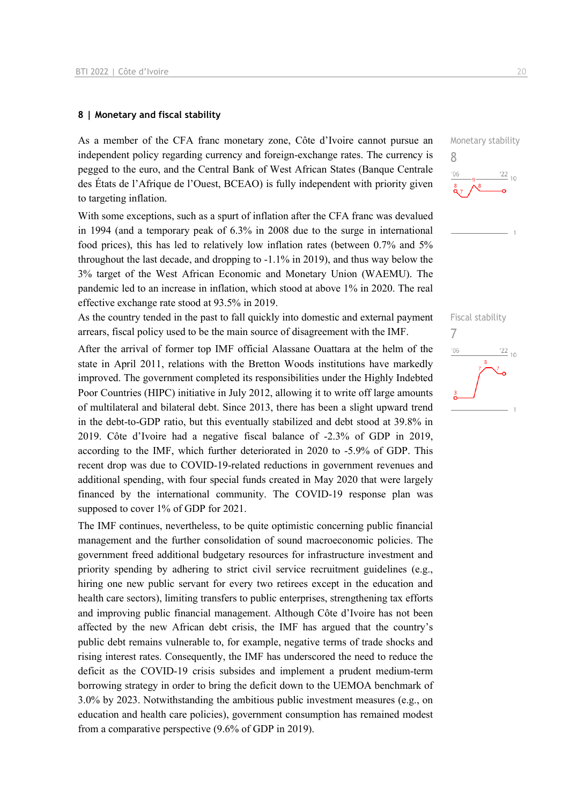#### **8 | Monetary and fiscal stability**

As a member of the CFA franc monetary zone, Côte d'Ivoire cannot pursue an independent policy regarding currency and foreign-exchange rates. The currency is pegged to the euro, and the Central Bank of West African States (Banque Centrale des États de l'Afrique de l'Ouest, BCEAO) is fully independent with priority given to targeting inflation.

With some exceptions, such as a spurt of inflation after the CFA franc was devalued in 1994 (and a temporary peak of 6.3% in 2008 due to the surge in international food prices), this has led to relatively low inflation rates (between 0.7% and 5% throughout the last decade, and dropping to -1.1% in 2019), and thus way below the 3% target of the West African Economic and Monetary Union (WAEMU). The pandemic led to an increase in inflation, which stood at above 1% in 2020. The real effective exchange rate stood at 93.5% in 2019.

As the country tended in the past to fall quickly into domestic and external payment arrears, fiscal policy used to be the main source of disagreement with the IMF.

After the arrival of former top IMF official Alassane Ouattara at the helm of the state in April 2011, relations with the Bretton Woods institutions have markedly improved. The government completed its responsibilities under the Highly Indebted Poor Countries (HIPC) initiative in July 2012, allowing it to write off large amounts of multilateral and bilateral debt. Since 2013, there has been a slight upward trend in the debt-to-GDP ratio, but this eventually stabilized and debt stood at 39.8% in 2019. Côte d'Ivoire had a negative fiscal balance of -2.3% of GDP in 2019, according to the IMF, which further deteriorated in 2020 to -5.9% of GDP. This recent drop was due to COVID-19-related reductions in government revenues and additional spending, with four special funds created in May 2020 that were largely financed by the international community. The COVID-19 response plan was supposed to cover 1% of GDP for 2021.

The IMF continues, nevertheless, to be quite optimistic concerning public financial management and the further consolidation of sound macroeconomic policies. The government freed additional budgetary resources for infrastructure investment and priority spending by adhering to strict civil service recruitment guidelines (e.g., hiring one new public servant for every two retirees except in the education and health care sectors), limiting transfers to public enterprises, strengthening tax efforts and improving public financial management. Although Côte d'Ivoire has not been affected by the new African debt crisis, the IMF has argued that the country's public debt remains vulnerable to, for example, negative terms of trade shocks and rising interest rates. Consequently, the IMF has underscored the need to reduce the deficit as the COVID-19 crisis subsides and implement a prudent medium-term borrowing strategy in order to bring the deficit down to the UEMOA benchmark of 3.0% by 2023. Notwithstanding the ambitious public investment measures (e.g., on education and health care policies), government consumption has remained modest from a comparative perspective (9.6% of GDP in 2019).

Monetary stability 8  $\frac{22}{10}$  $n<sub>f</sub>$ 

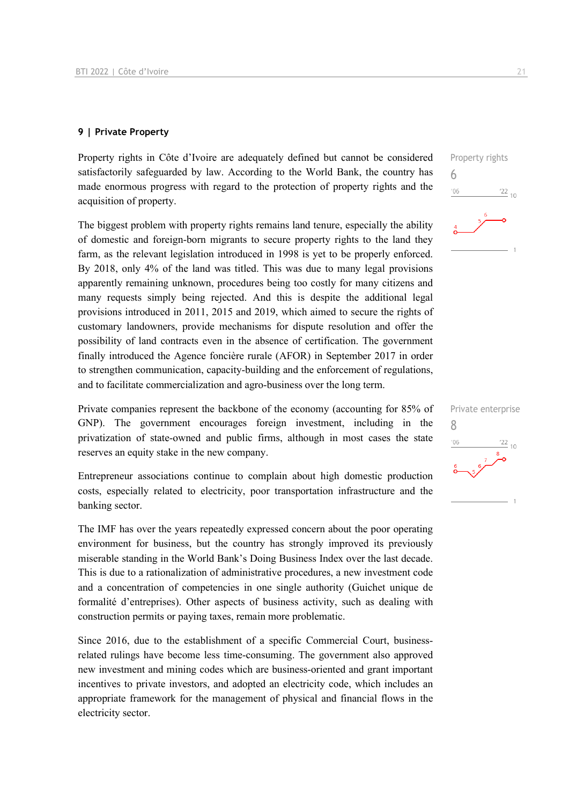#### **9 | Private Property**

Property rights in Côte d'Ivoire are adequately defined but cannot be considered satisfactorily safeguarded by law. According to the World Bank, the country has made enormous progress with regard to the protection of property rights and the acquisition of property.

The biggest problem with property rights remains land tenure, especially the ability of domestic and foreign-born migrants to secure property rights to the land they farm, as the relevant legislation introduced in 1998 is yet to be properly enforced. By 2018, only 4% of the land was titled. This was due to many legal provisions apparently remaining unknown, procedures being too costly for many citizens and many requests simply being rejected. And this is despite the additional legal provisions introduced in 2011, 2015 and 2019, which aimed to secure the rights of customary landowners, provide mechanisms for dispute resolution and offer the possibility of land contracts even in the absence of certification. The government finally introduced the Agence foncière rurale (AFOR) in September 2017 in order to strengthen communication, capacity-building and the enforcement of regulations, and to facilitate commercialization and agro-business over the long term.

Private companies represent the backbone of the economy (accounting for 85% of GNP). The government encourages foreign investment, including in the privatization of state-owned and public firms, although in most cases the state reserves an equity stake in the new company.

Entrepreneur associations continue to complain about high domestic production costs, especially related to electricity, poor transportation infrastructure and the banking sector.

The IMF has over the years repeatedly expressed concern about the poor operating environment for business, but the country has strongly improved its previously miserable standing in the World Bank's Doing Business Index over the last decade. This is due to a rationalization of administrative procedures, a new investment code and a concentration of competencies in one single authority (Guichet unique de formalité d'entreprises). Other aspects of business activity, such as dealing with construction permits or paying taxes, remain more problematic.

Since 2016, due to the establishment of a specific Commercial Court, businessrelated rulings have become less time-consuming. The government also approved new investment and mining codes which are business-oriented and grant important incentives to private investors, and adopted an electricity code, which includes an appropriate framework for the management of physical and financial flows in the electricity sector.



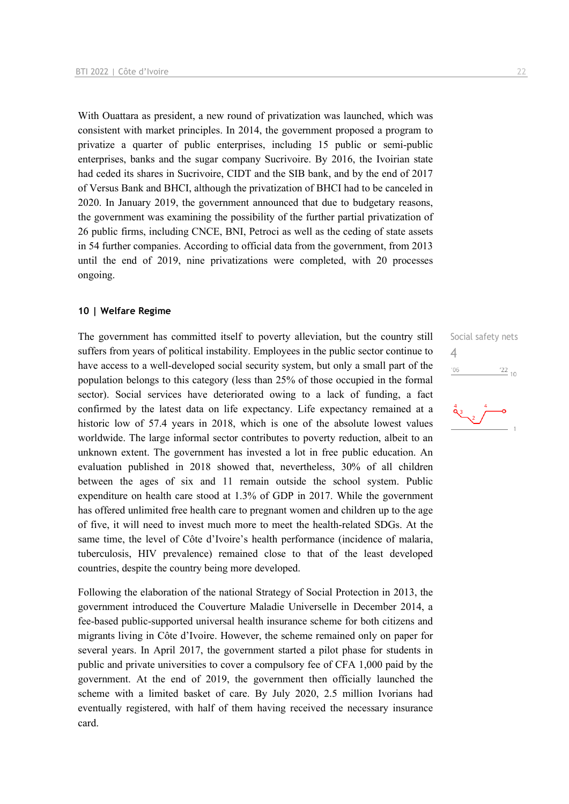With Ouattara as president, a new round of privatization was launched, which was consistent with market principles. In 2014, the government proposed a program to privatize a quarter of public enterprises, including 15 public or semi-public enterprises, banks and the sugar company Sucrivoire. By 2016, the Ivoirian state had ceded its shares in Sucrivoire, CIDT and the SIB bank, and by the end of 2017 of Versus Bank and BHCI, although the privatization of BHCI had to be canceled in 2020. In January 2019, the government announced that due to budgetary reasons, the government was examining the possibility of the further partial privatization of 26 public firms, including CNCE, BNI, Petroci as well as the ceding of state assets in 54 further companies. According to official data from the government, from 2013 until the end of 2019, nine privatizations were completed, with 20 processes ongoing.

#### **10 | Welfare Regime**

The government has committed itself to poverty alleviation, but the country still suffers from years of political instability. Employees in the public sector continue to have access to a well-developed social security system, but only a small part of the population belongs to this category (less than 25% of those occupied in the formal sector). Social services have deteriorated owing to a lack of funding, a fact confirmed by the latest data on life expectancy. Life expectancy remained at a historic low of 57.4 years in 2018, which is one of the absolute lowest values worldwide. The large informal sector contributes to poverty reduction, albeit to an unknown extent. The government has invested a lot in free public education. An evaluation published in 2018 showed that, nevertheless, 30% of all children between the ages of six and 11 remain outside the school system. Public expenditure on health care stood at 1.3% of GDP in 2017. While the government has offered unlimited free health care to pregnant women and children up to the age of five, it will need to invest much more to meet the health-related SDGs. At the same time, the level of Côte d'Ivoire's health performance (incidence of malaria, tuberculosis, HIV prevalence) remained close to that of the least developed countries, despite the country being more developed.

Following the elaboration of the national Strategy of Social Protection in 2013, the government introduced the Couverture Maladie Universelle in December 2014, a fee-based public-supported universal health insurance scheme for both citizens and migrants living in Côte d'Ivoire. However, the scheme remained only on paper for several years. In April 2017, the government started a pilot phase for students in public and private universities to cover a compulsory fee of CFA 1,000 paid by the government. At the end of 2019, the government then officially launched the scheme with a limited basket of care. By July 2020, 2.5 million Ivorians had eventually registered, with half of them having received the necessary insurance card.

Social safety nets 4 $-06$  $\frac{22}{10}$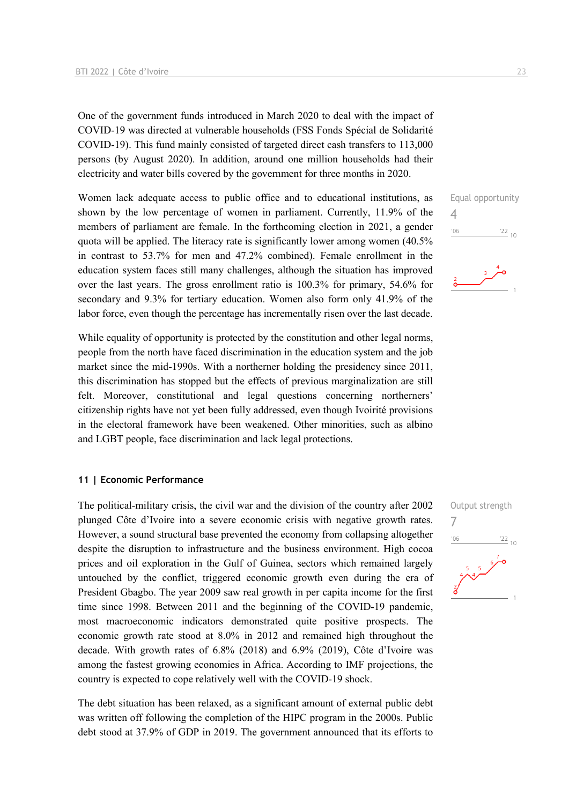One of the government funds introduced in March 2020 to deal with the impact of COVID-19 was directed at vulnerable households (FSS Fonds Spécial de Solidarité COVID-19). This fund mainly consisted of targeted direct cash transfers to 113,000 persons (by August 2020). In addition, around one million households had their electricity and water bills covered by the government for three months in 2020.

Women lack adequate access to public office and to educational institutions, as shown by the low percentage of women in parliament. Currently, 11.9% of the members of parliament are female. In the forthcoming election in 2021, a gender quota will be applied. The literacy rate is significantly lower among women (40.5% in contrast to 53.7% for men and 47.2% combined). Female enrollment in the education system faces still many challenges, although the situation has improved over the last years. The gross enrollment ratio is 100.3% for primary, 54.6% for secondary and 9.3% for tertiary education. Women also form only 41.9% of the labor force, even though the percentage has incrementally risen over the last decade.

While equality of opportunity is protected by the constitution and other legal norms, people from the north have faced discrimination in the education system and the job market since the mid-1990s. With a northerner holding the presidency since 2011, this discrimination has stopped but the effects of previous marginalization are still felt. Moreover, constitutional and legal questions concerning northerners' citizenship rights have not yet been fully addressed, even though Ivoirité provisions in the electoral framework have been weakened. Other minorities, such as albino and LGBT people, face discrimination and lack legal protections.

#### **11 | Economic Performance**

The political-military crisis, the civil war and the division of the country after 2002 plunged Côte d'Ivoire into a severe economic crisis with negative growth rates. However, a sound structural base prevented the economy from collapsing altogether despite the disruption to infrastructure and the business environment. High cocoa prices and oil exploration in the Gulf of Guinea, sectors which remained largely untouched by the conflict, triggered economic growth even during the era of President Gbagbo. The year 2009 saw real growth in per capita income for the first time since 1998. Between 2011 and the beginning of the COVID-19 pandemic, most macroeconomic indicators demonstrated quite positive prospects. The economic growth rate stood at 8.0% in 2012 and remained high throughout the decade. With growth rates of 6.8% (2018) and 6.9% (2019), Côte d'Ivoire was among the fastest growing economies in Africa. According to IMF projections, the country is expected to cope relatively well with the COVID-19 shock.

The debt situation has been relaxed, as a significant amount of external public debt was written off following the completion of the HIPC program in the 2000s. Public debt stood at 37.9% of GDP in 2019. The government announced that its efforts to



4

 $'06$ 

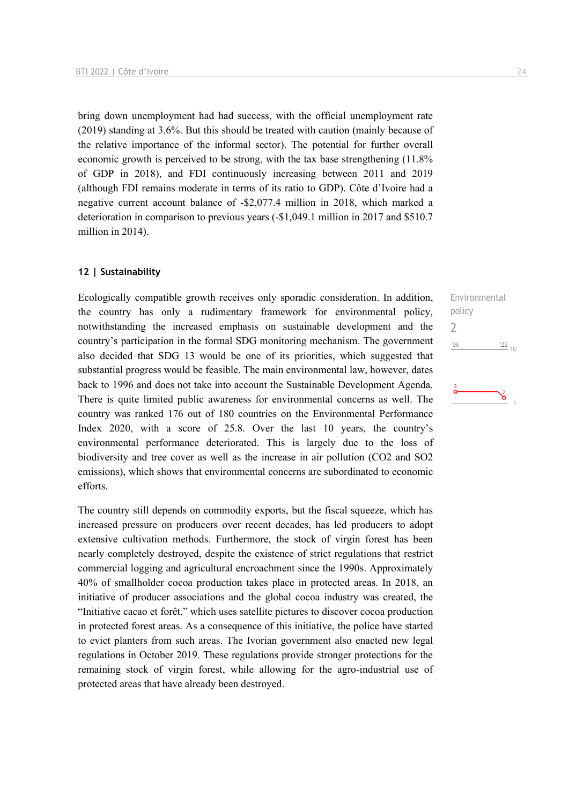bring down unemployment had had success, with the official unemployment rate (2019) standing at 3.6%. But this should be treated with caution (mainly because of the relative importance of the informal sector). The potential for further overall economic growth is perceived to be strong, with the tax base strengthening (11.8% of GDP in 2018), and FDI continuously increasing between 2011 and 2019 (although FDI remains moderate in terms of its ratio to GDP). Côte d'Ivoire had a negative current account balance of -\$2,077.4 million in 2018, which marked a deterioration in comparison to previous years (-\$1,049.1 million in 2017 and \$510.7 million in 2014).

#### **12 | Sustainability**

Ecologically compatible growth receives only sporadic consideration. In addition, the country has only a rudimentary framework for environmental policy, notwithstanding the increased emphasis on sustainable development and the country's participation in the formal SDG monitoring mechanism. The government also decided that SDG 13 would be one of its priorities, which suggested that substantial progress would be feasible. The main environmental law, however, dates back to 1996 and does not take into account the Sustainable Development Agenda. There is quite limited public awareness for environmental concerns as well. The country was ranked 176 out of 180 countries on the Environmental Performance Index 2020, with a score of 25.8. Over the last 10 years, the country's environmental performance deteriorated. This is largely due to the loss of biodiversity and tree cover as well as the increase in air pollution (CO2 and SO2 emissions), which shows that environmental concerns are subordinated to economic efforts.

The country still depends on commodity exports, but the fiscal squeeze, which has increased pressure on producers over recent decades, has led producers to adopt extensive cultivation methods. Furthermore, the stock of virgin forest has been nearly completely destroyed, despite the existence of strict regulations that restrict commercial logging and agricultural encroachment since the 1990s. Approximately 40% of smallholder cocoa production takes place in protected areas. In 2018, an initiative of producer associations and the global cocoa industry was created, the "Initiative cacao et forêt," which uses satellite pictures to discover cocoa production in protected forest areas. As a consequence of this initiative, the police have started to evict planters from such areas. The Ivorian government also enacted new legal regulations in October 2019. These regulations provide stronger protections for the remaining stock of virgin forest, while allowing for the agro-industrial use of protected areas that have already been destroyed.

Environmental policy 2 $'06$  $\frac{22}{10}$ ঌ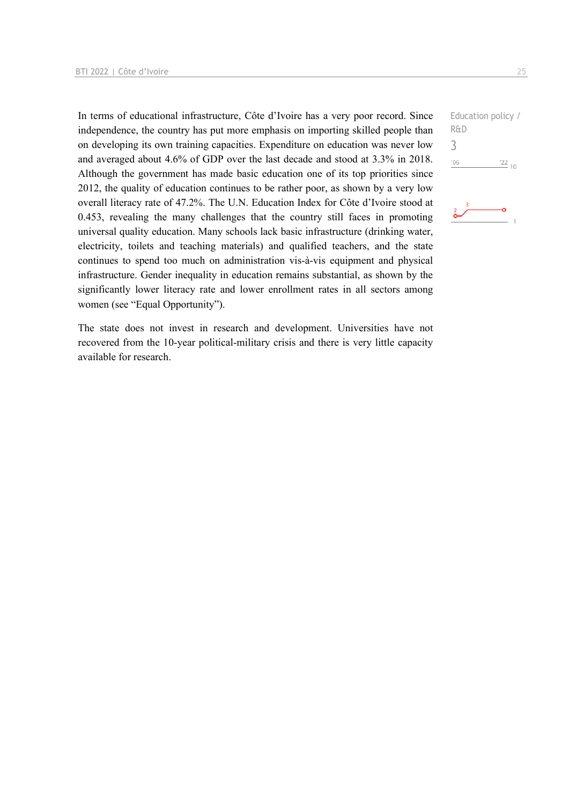In terms of educational infrastructure, Côte d'Ivoire has a very poor record. Since independence, the country has put more emphasis on importing skilled people than on developing its own training capacities. Expenditure on education was never low and averaged about 4.6% of GDP over the last decade and stood at 3.3% in 2018. Although the government has made basic education one of its top priorities since 2012, the quality of education continues to be rather poor, as shown by a very low overall literacy rate of 47.2%. The U.N. Education Index for Côte d'Ivoire stood at 0.453, revealing the many challenges that the country still faces in promoting universal quality education. Many schools lack basic infrastructure (drinking water, electricity, toilets and teaching materials) and qualified teachers, and the state continues to spend too much on administration vis-à-vis equipment and physical infrastructure. Gender inequality in education remains substantial, as shown by the significantly lower literacy rate and lower enrollment rates in all sectors among women (see "Equal Opportunity").

The state does not invest in research and development. Universities have not recovered from the 10-year political-military crisis and there is very little capacity available for research.

```
Education policy / 
R&D
3-06\frac{22}{10}
```
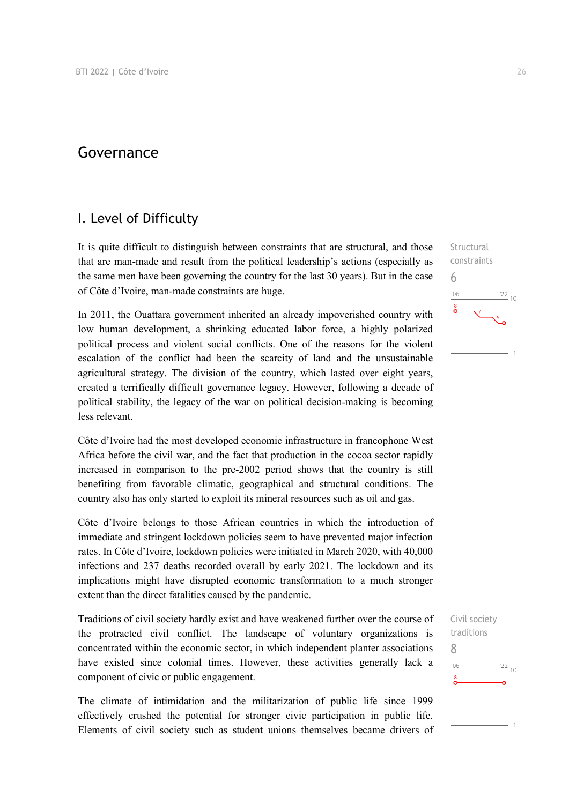#### Governance

#### I. Level of Difficulty

It is quite difficult to distinguish between constraints that are structural, and those that are man-made and result from the political leadership's actions (especially as the same men have been governing the country for the last 30 years). But in the case of Côte d'Ivoire, man-made constraints are huge.

In 2011, the Ouattara government inherited an already impoverished country with low human development, a shrinking educated labor force, a highly polarized political process and violent social conflicts. One of the reasons for the violent escalation of the conflict had been the scarcity of land and the unsustainable agricultural strategy. The division of the country, which lasted over eight years, created a terrifically difficult governance legacy. However, following a decade of political stability, the legacy of the war on political decision-making is becoming less relevant.

Côte d'Ivoire had the most developed economic infrastructure in francophone West Africa before the civil war, and the fact that production in the cocoa sector rapidly increased in comparison to the pre-2002 period shows that the country is still benefiting from favorable climatic, geographical and structural conditions. The country also has only started to exploit its mineral resources such as oil and gas.

Côte d'Ivoire belongs to those African countries in which the introduction of immediate and stringent lockdown policies seem to have prevented major infection rates. In Côte d'Ivoire, lockdown policies were initiated in March 2020, with 40,000 infections and 237 deaths recorded overall by early 2021. The lockdown and its implications might have disrupted economic transformation to a much stronger extent than the direct fatalities caused by the pandemic.

Traditions of civil society hardly exist and have weakened further over the course of the protracted civil conflict. The landscape of voluntary organizations is concentrated within the economic sector, in which independent planter associations have existed since colonial times. However, these activities generally lack a component of civic or public engagement.

The climate of intimidation and the militarization of public life since 1999 effectively crushed the potential for stronger civic participation in public life. Elements of civil society such as student unions themselves became drivers of



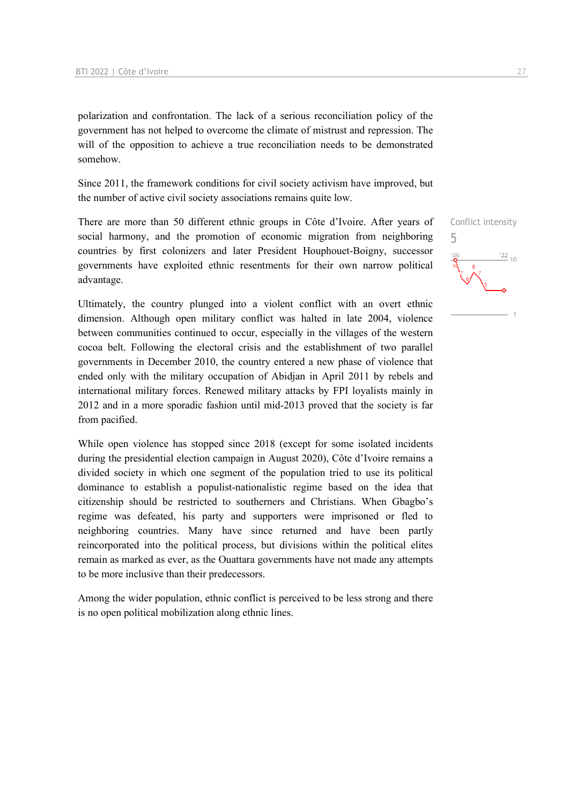polarization and confrontation. The lack of a serious reconciliation policy of the government has not helped to overcome the climate of mistrust and repression. The will of the opposition to achieve a true reconciliation needs to be demonstrated somehow.

Since 2011, the framework conditions for civil society activism have improved, but the number of active civil society associations remains quite low.

There are more than 50 different ethnic groups in Côte d'Ivoire. After years of social harmony, and the promotion of economic migration from neighboring countries by first colonizers and later President Houphouet-Boigny, successor governments have exploited ethnic resentments for their own narrow political advantage.

Ultimately, the country plunged into a violent conflict with an overt ethnic dimension. Although open military conflict was halted in late 2004, violence between communities continued to occur, especially in the villages of the western cocoa belt. Following the electoral crisis and the establishment of two parallel governments in December 2010, the country entered a new phase of violence that ended only with the military occupation of Abidjan in April 2011 by rebels and international military forces. Renewed military attacks by FPI loyalists mainly in 2012 and in a more sporadic fashion until mid-2013 proved that the society is far from pacified.

While open violence has stopped since 2018 (except for some isolated incidents during the presidential election campaign in August 2020), Côte d'Ivoire remains a divided society in which one segment of the population tried to use its political dominance to establish a populist-nationalistic regime based on the idea that citizenship should be restricted to southerners and Christians. When Gbagbo's regime was defeated, his party and supporters were imprisoned or fled to neighboring countries. Many have since returned and have been partly reincorporated into the political process, but divisions within the political elites remain as marked as ever, as the Ouattara governments have not made any attempts to be more inclusive than their predecessors.

Among the wider population, ethnic conflict is perceived to be less strong and there is no open political mobilization along ethnic lines.

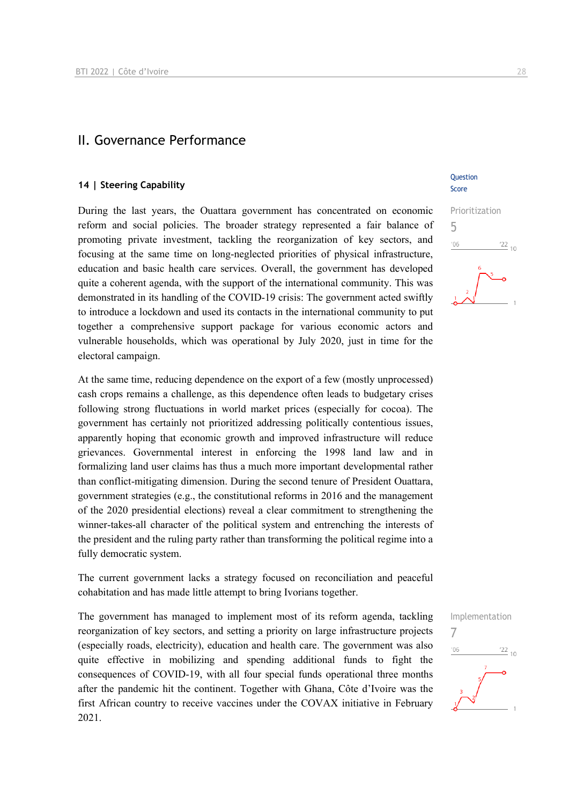#### II. Governance Performance

#### **14 | Steering Capability**

During the last years, the Ouattara government has concentrated on economic reform and social policies. The broader strategy represented a fair balance of promoting private investment, tackling the reorganization of key sectors, and focusing at the same time on long-neglected priorities of physical infrastructure, education and basic health care services. Overall, the government has developed quite a coherent agenda, with the support of the international community. This was demonstrated in its handling of the COVID-19 crisis: The government acted swiftly to introduce a lockdown and used its contacts in the international community to put together a comprehensive support package for various economic actors and vulnerable households, which was operational by July 2020, just in time for the electoral campaign.

At the same time, reducing dependence on the export of a few (mostly unprocessed) cash crops remains a challenge, as this dependence often leads to budgetary crises following strong fluctuations in world market prices (especially for cocoa). The government has certainly not prioritized addressing politically contentious issues, apparently hoping that economic growth and improved infrastructure will reduce grievances. Governmental interest in enforcing the 1998 land law and in formalizing land user claims has thus a much more important developmental rather than conflict-mitigating dimension. During the second tenure of President Ouattara, government strategies (e.g., the constitutional reforms in 2016 and the management of the 2020 presidential elections) reveal a clear commitment to strengthening the winner-takes-all character of the political system and entrenching the interests of the president and the ruling party rather than transforming the political regime into a fully democratic system.

The current government lacks a strategy focused on reconciliation and peaceful cohabitation and has made little attempt to bring Ivorians together.

The government has managed to implement most of its reform agenda, tackling reorganization of key sectors, and setting a priority on large infrastructure projects (especially roads, electricity), education and health care. The government was also quite effective in mobilizing and spending additional funds to fight the consequences of COVID-19, with all four special funds operational three months after the pandemic hit the continent. Together with Ghana, Côte d'Ivoire was the first African country to receive vaccines under the COVAX initiative in February 2021.

#### **Ouestion** Score

## Prioritization 5  $\frac{22}{10}$  $'06$

Implementation

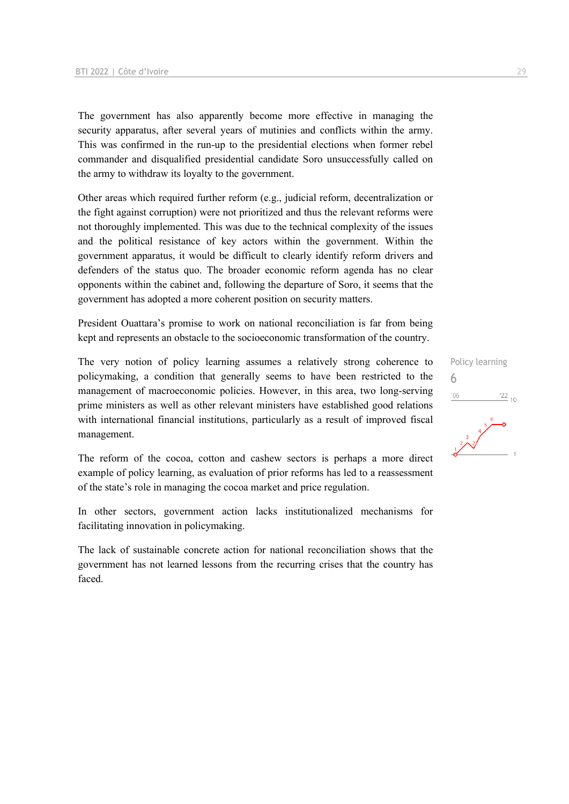The government has also apparently become more effective in managing the security apparatus, after several years of mutinies and conflicts within the army. This was confirmed in the run-up to the presidential elections when former rebel commander and disqualified presidential candidate Soro unsuccessfully called on the army to withdraw its loyalty to the government.

Other areas which required further reform (e.g., judicial reform, decentralization or the fight against corruption) were not prioritized and thus the relevant reforms were not thoroughly implemented. This was due to the technical complexity of the issues and the political resistance of key actors within the government. Within the government apparatus, it would be difficult to clearly identify reform drivers and defenders of the status quo. The broader economic reform agenda has no clear opponents within the cabinet and, following the departure of Soro, it seems that the government has adopted a more coherent position on security matters.

President Ouattara's promise to work on national reconciliation is far from being kept and represents an obstacle to the socioeconomic transformation of the country.

The very notion of policy learning assumes a relatively strong coherence to policymaking, a condition that generally seems to have been restricted to the management of macroeconomic policies. However, in this area, two long-serving prime ministers as well as other relevant ministers have established good relations with international financial institutions, particularly as a result of improved fiscal management.

The reform of the cocoa, cotton and cashew sectors is perhaps a more direct example of policy learning, as evaluation of prior reforms has led to a reassessment of the state's role in managing the cocoa market and price regulation.

In other sectors, government action lacks institutionalized mechanisms for facilitating innovation in policymaking.

The lack of sustainable concrete action for national reconciliation shows that the government has not learned lessons from the recurring crises that the country has faced.

Policy learning 6 $'06$  $\frac{22}{10}$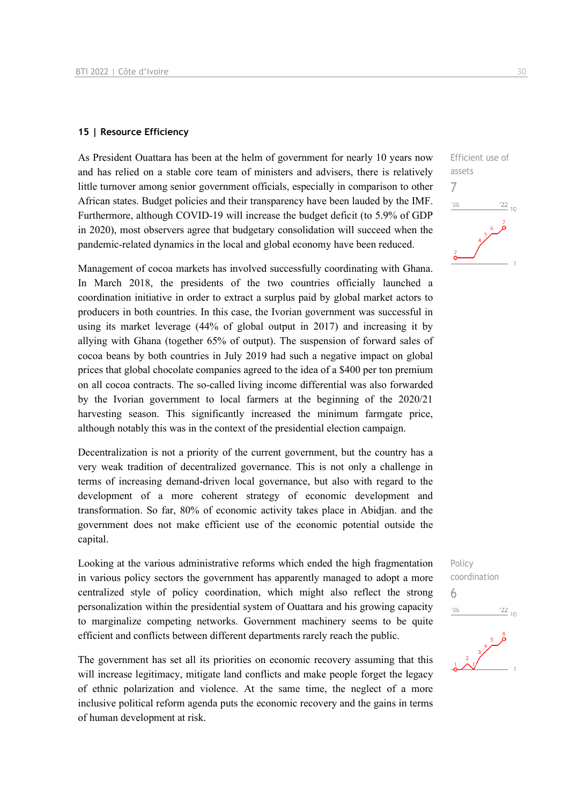#### **15 | Resource Efficiency**

As President Ouattara has been at the helm of government for nearly 10 years now and has relied on a stable core team of ministers and advisers, there is relatively little turnover among senior government officials, especially in comparison to other African states. Budget policies and their transparency have been lauded by the IMF. Furthermore, although COVID-19 will increase the budget deficit (to 5.9% of GDP in 2020), most observers agree that budgetary consolidation will succeed when the pandemic-related dynamics in the local and global economy have been reduced.

Management of cocoa markets has involved successfully coordinating with Ghana. In March 2018, the presidents of the two countries officially launched a coordination initiative in order to extract a surplus paid by global market actors to producers in both countries. In this case, the Ivorian government was successful in using its market leverage (44% of global output in 2017) and increasing it by allying with Ghana (together 65% of output). The suspension of forward sales of cocoa beans by both countries in July 2019 had such a negative impact on global prices that global chocolate companies agreed to the idea of a \$400 per ton premium on all cocoa contracts. The so-called living income differential was also forwarded by the Ivorian government to local farmers at the beginning of the 2020/21 harvesting season. This significantly increased the minimum farmgate price, although notably this was in the context of the presidential election campaign.

Decentralization is not a priority of the current government, but the country has a very weak tradition of decentralized governance. This is not only a challenge in terms of increasing demand-driven local governance, but also with regard to the development of a more coherent strategy of economic development and transformation. So far, 80% of economic activity takes place in Abidjan. and the government does not make efficient use of the economic potential outside the capital.

Looking at the various administrative reforms which ended the high fragmentation in various policy sectors the government has apparently managed to adopt a more centralized style of policy coordination, which might also reflect the strong personalization within the presidential system of Ouattara and his growing capacity to marginalize competing networks. Government machinery seems to be quite efficient and conflicts between different departments rarely reach the public.

The government has set all its priorities on economic recovery assuming that this will increase legitimacy, mitigate land conflicts and make people forget the legacy of ethnic polarization and violence. At the same time, the neglect of a more inclusive political reform agenda puts the economic recovery and the gains in terms of human development at risk.



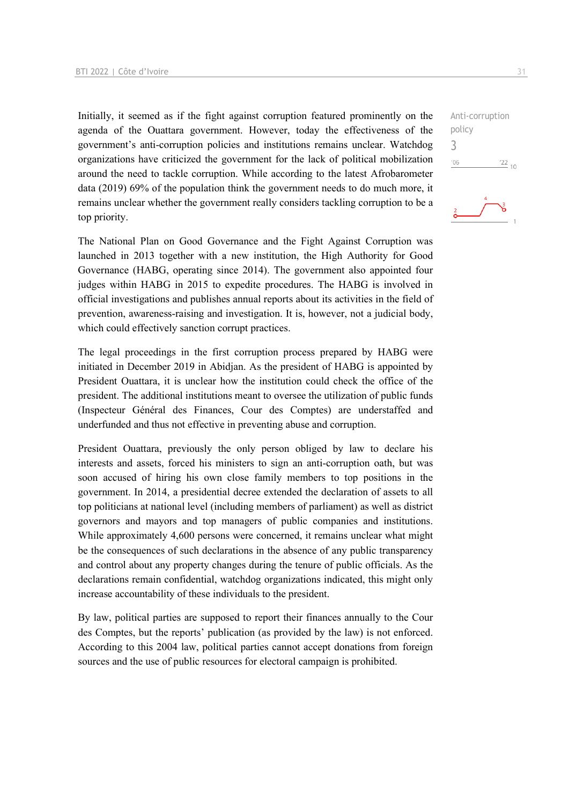Initially, it seemed as if the fight against corruption featured prominently on the agenda of the Ouattara government. However, today the effectiveness of the government's anti-corruption policies and institutions remains unclear. Watchdog organizations have criticized the government for the lack of political mobilization around the need to tackle corruption. While according to the latest Afrobarometer data (2019) 69% of the population think the government needs to do much more, it remains unclear whether the government really considers tackling corruption to be a top priority.

The National Plan on Good Governance and the Fight Against Corruption was launched in 2013 together with a new institution, the High Authority for Good Governance (HABG, operating since 2014). The government also appointed four judges within HABG in 2015 to expedite procedures. The HABG is involved in official investigations and publishes annual reports about its activities in the field of prevention, awareness-raising and investigation. It is, however, not a judicial body, which could effectively sanction corrupt practices.

The legal proceedings in the first corruption process prepared by HABG were initiated in December 2019 in Abidjan. As the president of HABG is appointed by President Ouattara, it is unclear how the institution could check the office of the president. The additional institutions meant to oversee the utilization of public funds (Inspecteur Général des Finances, Cour des Comptes) are understaffed and underfunded and thus not effective in preventing abuse and corruption.

President Ouattara, previously the only person obliged by law to declare his interests and assets, forced his ministers to sign an anti-corruption oath, but was soon accused of hiring his own close family members to top positions in the government. In 2014, a presidential decree extended the declaration of assets to all top politicians at national level (including members of parliament) as well as district governors and mayors and top managers of public companies and institutions. While approximately 4,600 persons were concerned, it remains unclear what might be the consequences of such declarations in the absence of any public transparency and control about any property changes during the tenure of public officials. As the declarations remain confidential, watchdog organizations indicated, this might only increase accountability of these individuals to the president.

By law, political parties are supposed to report their finances annually to the Cour des Comptes, but the reports' publication (as provided by the law) is not enforced. According to this 2004 law, political parties cannot accept donations from foreign sources and the use of public resources for electoral campaign is prohibited.

Anti-corruption policy 3 $'06$  $\frac{22}{10}$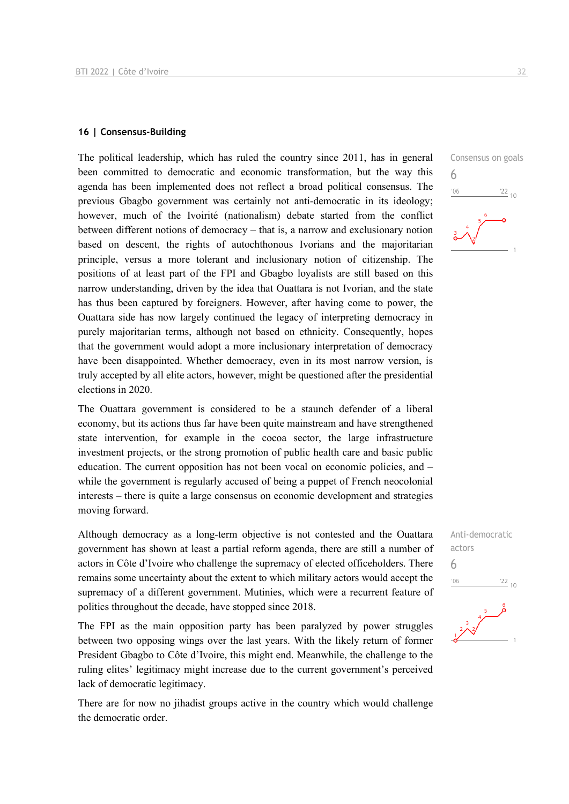#### **16 | Consensus-Building**

The political leadership, which has ruled the country since 2011, has in general been committed to democratic and economic transformation, but the way this agenda has been implemented does not reflect a broad political consensus. The previous Gbagbo government was certainly not anti-democratic in its ideology; however, much of the Ivoirité (nationalism) debate started from the conflict between different notions of democracy – that is, a narrow and exclusionary notion based on descent, the rights of autochthonous Ivorians and the majoritarian principle, versus a more tolerant and inclusionary notion of citizenship. The positions of at least part of the FPI and Gbagbo loyalists are still based on this narrow understanding, driven by the idea that Ouattara is not Ivorian, and the state has thus been captured by foreigners. However, after having come to power, the Ouattara side has now largely continued the legacy of interpreting democracy in purely majoritarian terms, although not based on ethnicity. Consequently, hopes that the government would adopt a more inclusionary interpretation of democracy have been disappointed. Whether democracy, even in its most narrow version, is truly accepted by all elite actors, however, might be questioned after the presidential elections in 2020.

The Ouattara government is considered to be a staunch defender of a liberal economy, but its actions thus far have been quite mainstream and have strengthened state intervention, for example in the cocoa sector, the large infrastructure investment projects, or the strong promotion of public health care and basic public education. The current opposition has not been vocal on economic policies, and – while the government is regularly accused of being a puppet of French neocolonial interests – there is quite a large consensus on economic development and strategies moving forward.

Although democracy as a long-term objective is not contested and the Ouattara government has shown at least a partial reform agenda, there are still a number of actors in Côte d'Ivoire who challenge the supremacy of elected officeholders. There remains some uncertainty about the extent to which military actors would accept the supremacy of a different government. Mutinies, which were a recurrent feature of politics throughout the decade, have stopped since 2018.

The FPI as the main opposition party has been paralyzed by power struggles between two opposing wings over the last years. With the likely return of former President Gbagbo to Côte d'Ivoire, this might end. Meanwhile, the challenge to the ruling elites' legitimacy might increase due to the current government's perceived lack of democratic legitimacy.

There are for now no jihadist groups active in the country which would challenge the democratic order.



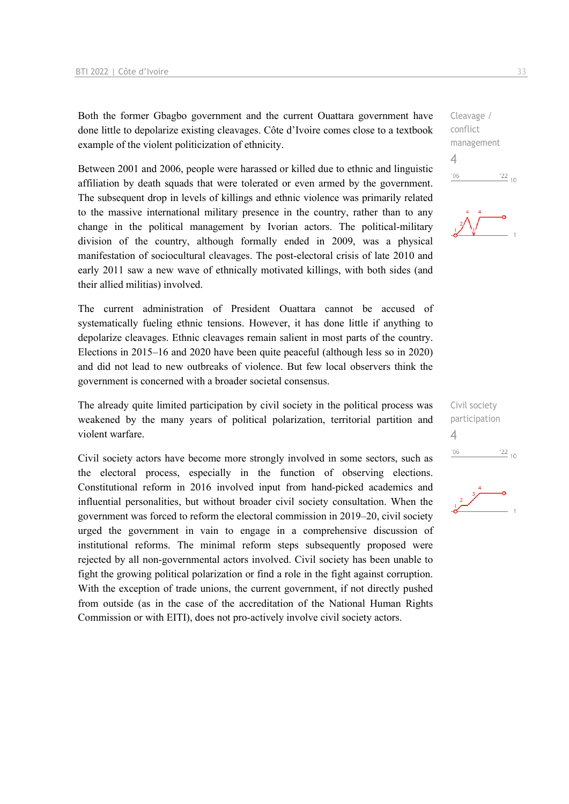Both the former Gbagbo government and the current Ouattara government have done little to depolarize existing cleavages. Côte d'Ivoire comes close to a textbook example of the violent politicization of ethnicity.

Between 2001 and 2006, people were harassed or killed due to ethnic and linguistic affiliation by death squads that were tolerated or even armed by the government. The subsequent drop in levels of killings and ethnic violence was primarily related to the massive international military presence in the country, rather than to any change in the political management by Ivorian actors. The political-military division of the country, although formally ended in 2009, was a physical manifestation of sociocultural cleavages. The post-electoral crisis of late 2010 and early 2011 saw a new wave of ethnically motivated killings, with both sides (and their allied militias) involved.

The current administration of President Ouattara cannot be accused of systematically fueling ethnic tensions. However, it has done little if anything to depolarize cleavages. Ethnic cleavages remain salient in most parts of the country. Elections in 2015–16 and 2020 have been quite peaceful (although less so in 2020) and did not lead to new outbreaks of violence. But few local observers think the government is concerned with a broader societal consensus.

The already quite limited participation by civil society in the political process was weakened by the many years of political polarization, territorial partition and violent warfare.

Civil society actors have become more strongly involved in some sectors, such as the electoral process, especially in the function of observing elections. Constitutional reform in 2016 involved input from hand-picked academics and influential personalities, but without broader civil society consultation. When the government was forced to reform the electoral commission in 2019–20, civil society urged the government in vain to engage in a comprehensive discussion of institutional reforms. The minimal reform steps subsequently proposed were rejected by all non-governmental actors involved. Civil society has been unable to fight the growing political polarization or find a role in the fight against corruption. With the exception of trade unions, the current government, if not directly pushed from outside (as in the case of the accreditation of the National Human Rights Commission or with EITI), does not pro-actively involve civil society actors.

Cleavage / conflict management 4  $106$  $\frac{22}{10}$ 



Civil society participation 4 $'06$  $^{22}$  10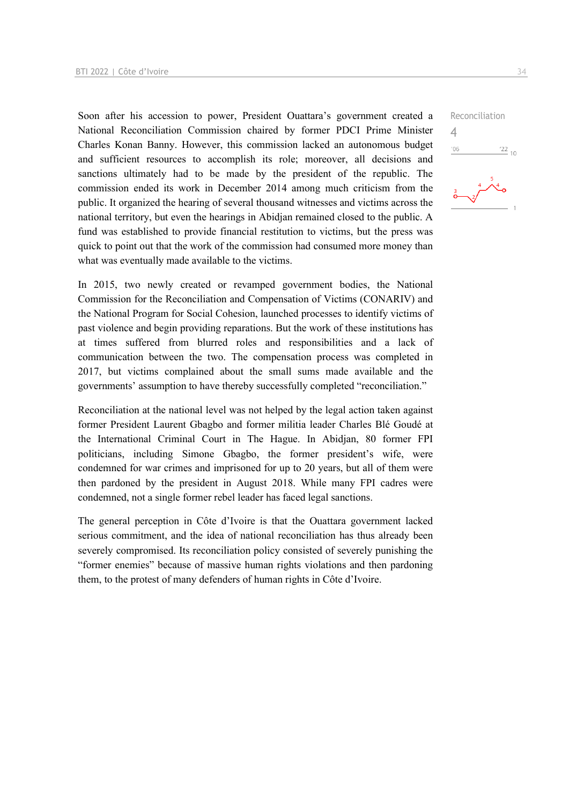Soon after his accession to power, President Ouattara's government created a National Reconciliation Commission chaired by former PDCI Prime Minister Charles Konan Banny. However, this commission lacked an autonomous budget and sufficient resources to accomplish its role; moreover, all decisions and sanctions ultimately had to be made by the president of the republic. The commission ended its work in December 2014 among much criticism from the public. It organized the hearing of several thousand witnesses and victims across the national territory, but even the hearings in Abidjan remained closed to the public. A fund was established to provide financial restitution to victims, but the press was quick to point out that the work of the commission had consumed more money than what was eventually made available to the victims.

In 2015, two newly created or revamped government bodies, the National Commission for the Reconciliation and Compensation of Victims (CONARIV) and the National Program for Social Cohesion, launched processes to identify victims of past violence and begin providing reparations. But the work of these institutions has at times suffered from blurred roles and responsibilities and a lack of communication between the two. The compensation process was completed in 2017, but victims complained about the small sums made available and the governments' assumption to have thereby successfully completed "reconciliation."

Reconciliation at the national level was not helped by the legal action taken against former President Laurent Gbagbo and former militia leader Charles Blé Goudé at the International Criminal Court in The Hague. In Abidjan, 80 former FPI politicians, including Simone Gbagbo, the former president's wife, were condemned for war crimes and imprisoned for up to 20 years, but all of them were then pardoned by the president in August 2018. While many FPI cadres were condemned, not a single former rebel leader has faced legal sanctions.

The general perception in Côte d'Ivoire is that the Ouattara government lacked serious commitment, and the idea of national reconciliation has thus already been severely compromised. Its reconciliation policy consisted of severely punishing the "former enemies" because of massive human rights violations and then pardoning them, to the protest of many defenders of human rights in Côte d'Ivoire.

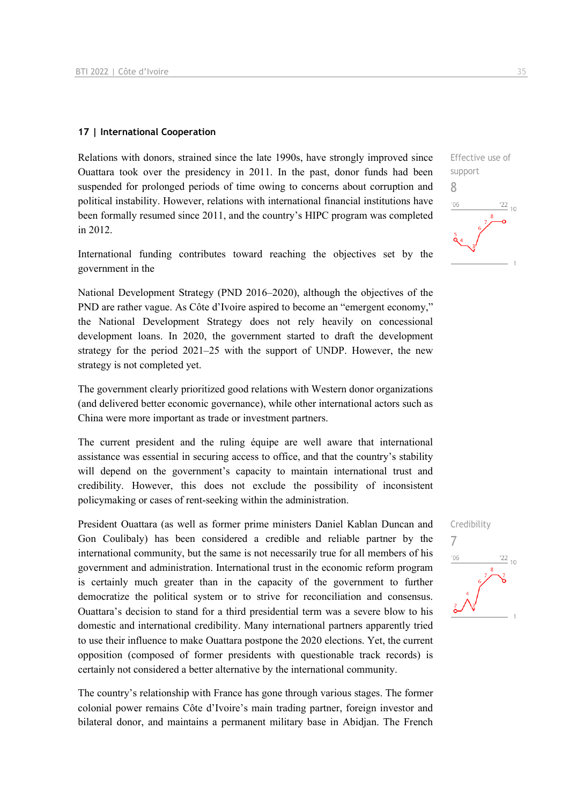#### **17 | International Cooperation**

Relations with donors, strained since the late 1990s, have strongly improved since Ouattara took over the presidency in 2011. In the past, donor funds had been suspended for prolonged periods of time owing to concerns about corruption and political instability. However, relations with international financial institutions have been formally resumed since 2011, and the country's HIPC program was completed in 2012.

International funding contributes toward reaching the objectives set by the government in the

National Development Strategy (PND 2016–2020), although the objectives of the PND are rather vague. As Côte d'Ivoire aspired to become an "emergent economy," the National Development Strategy does not rely heavily on concessional development loans. In 2020, the government started to draft the development strategy for the period 2021–25 with the support of UNDP. However, the new strategy is not completed yet.

The government clearly prioritized good relations with Western donor organizations (and delivered better economic governance), while other international actors such as China were more important as trade or investment partners.

The current president and the ruling équipe are well aware that international assistance was essential in securing access to office, and that the country's stability will depend on the government's capacity to maintain international trust and credibility. However, this does not exclude the possibility of inconsistent policymaking or cases of rent-seeking within the administration.

President Ouattara (as well as former prime ministers Daniel Kablan Duncan and Gon Coulibaly) has been considered a credible and reliable partner by the international community, but the same is not necessarily true for all members of his government and administration. International trust in the economic reform program is certainly much greater than in the capacity of the government to further democratize the political system or to strive for reconciliation and consensus. Ouattara's decision to stand for a third presidential term was a severe blow to his domestic and international credibility. Many international partners apparently tried to use their influence to make Ouattara postpone the 2020 elections. Yet, the current opposition (composed of former presidents with questionable track records) is certainly not considered a better alternative by the international community.

The country's relationship with France has gone through various stages. The former colonial power remains Côte d'Ivoire's main trading partner, foreign investor and bilateral donor, and maintains a permanent military base in Abidjan. The French



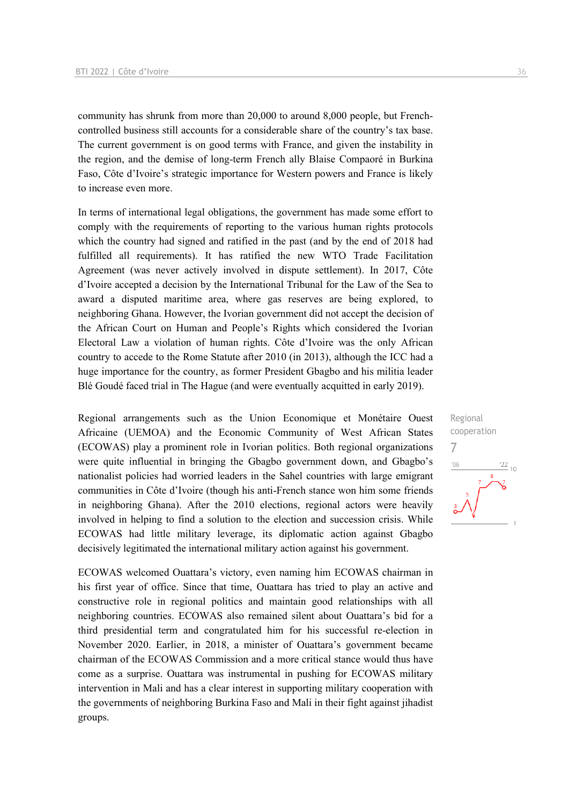community has shrunk from more than 20,000 to around 8,000 people, but Frenchcontrolled business still accounts for a considerable share of the country's tax base. The current government is on good terms with France, and given the instability in the region, and the demise of long-term French ally Blaise Compaoré in Burkina Faso, Côte d'Ivoire's strategic importance for Western powers and France is likely to increase even more.

In terms of international legal obligations, the government has made some effort to comply with the requirements of reporting to the various human rights protocols which the country had signed and ratified in the past (and by the end of 2018 had fulfilled all requirements). It has ratified the new WTO Trade Facilitation Agreement (was never actively involved in dispute settlement). In 2017, Côte d'Ivoire accepted a decision by the International Tribunal for the Law of the Sea to award a disputed maritime area, where gas reserves are being explored, to neighboring Ghana. However, the Ivorian government did not accept the decision of the African Court on Human and People's Rights which considered the Ivorian Electoral Law a violation of human rights. Côte d'Ivoire was the only African country to accede to the Rome Statute after 2010 (in 2013), although the ICC had a huge importance for the country, as former President Gbagbo and his militia leader Blé Goudé faced trial in The Hague (and were eventually acquitted in early 2019).

Regional arrangements such as the Union Economique et Monétaire Ouest Africaine (UEMOA) and the Economic Community of West African States (ECOWAS) play a prominent role in Ivorian politics. Both regional organizations were quite influential in bringing the Gbagbo government down, and Gbagbo's nationalist policies had worried leaders in the Sahel countries with large emigrant communities in Côte d'Ivoire (though his anti-French stance won him some friends in neighboring Ghana). After the 2010 elections, regional actors were heavily involved in helping to find a solution to the election and succession crisis. While ECOWAS had little military leverage, its diplomatic action against Gbagbo decisively legitimated the international military action against his government.

ECOWAS welcomed Ouattara's victory, even naming him ECOWAS chairman in his first year of office. Since that time, Ouattara has tried to play an active and constructive role in regional politics and maintain good relationships with all neighboring countries. ECOWAS also remained silent about Ouattara's bid for a third presidential term and congratulated him for his successful re-election in November 2020. Earlier, in 2018, a minister of Ouattara's government became chairman of the ECOWAS Commission and a more critical stance would thus have come as a surprise. Ouattara was instrumental in pushing for ECOWAS military intervention in Mali and has a clear interest in supporting military cooperation with the governments of neighboring Burkina Faso and Mali in their fight against jihadist groups.

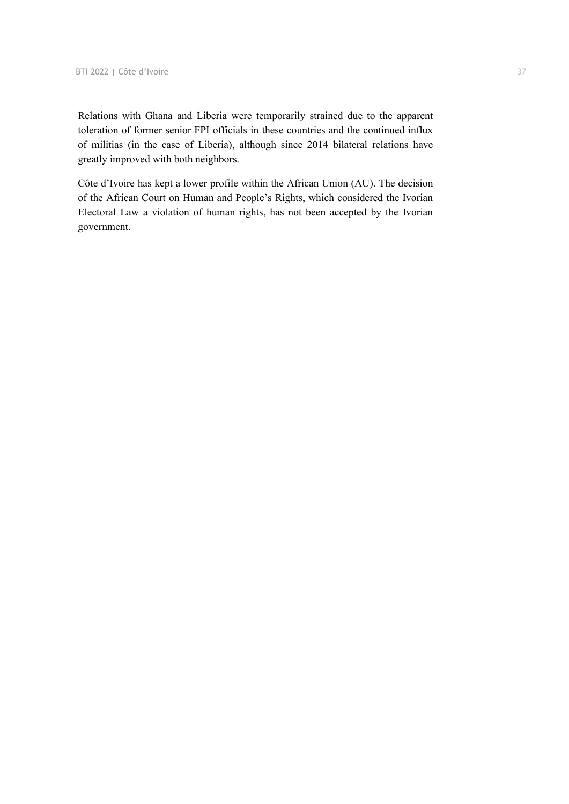Relations with Ghana and Liberia were temporarily strained due to the apparent toleration of former senior FPI officials in these countries and the continued influx of militias (in the case of Liberia), although since 2014 bilateral relations have greatly improved with both neighbors.

Côte d'Ivoire has kept a lower profile within the African Union (AU). The decision of the African Court on Human and People's Rights, which considered the Ivorian Electoral Law a violation of human rights, has not been accepted by the Ivorian government.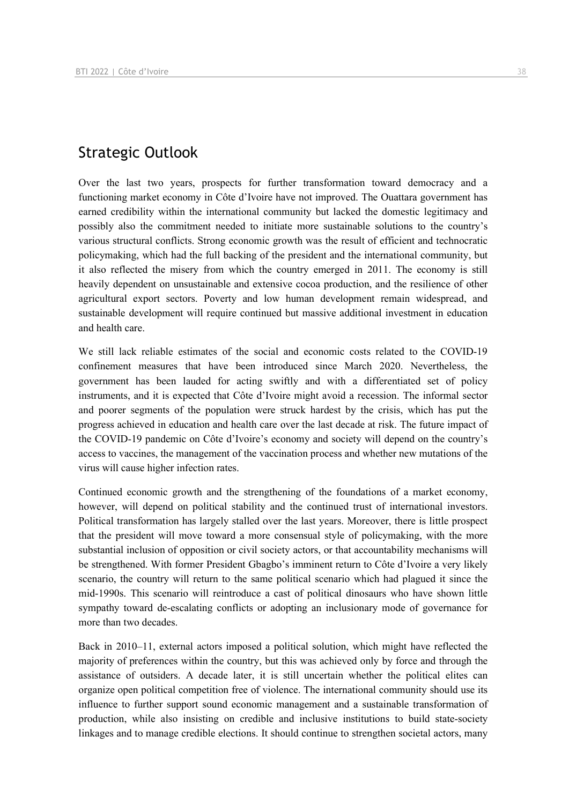#### Strategic Outlook

Over the last two years, prospects for further transformation toward democracy and a functioning market economy in Côte d'Ivoire have not improved. The Ouattara government has earned credibility within the international community but lacked the domestic legitimacy and possibly also the commitment needed to initiate more sustainable solutions to the country's various structural conflicts. Strong economic growth was the result of efficient and technocratic policymaking, which had the full backing of the president and the international community, but it also reflected the misery from which the country emerged in 2011. The economy is still heavily dependent on unsustainable and extensive cocoa production, and the resilience of other agricultural export sectors. Poverty and low human development remain widespread, and sustainable development will require continued but massive additional investment in education and health care.

We still lack reliable estimates of the social and economic costs related to the COVID-19 confinement measures that have been introduced since March 2020. Nevertheless, the government has been lauded for acting swiftly and with a differentiated set of policy instruments, and it is expected that Côte d'Ivoire might avoid a recession. The informal sector and poorer segments of the population were struck hardest by the crisis, which has put the progress achieved in education and health care over the last decade at risk. The future impact of the COVID-19 pandemic on Côte d'Ivoire's economy and society will depend on the country's access to vaccines, the management of the vaccination process and whether new mutations of the virus will cause higher infection rates.

Continued economic growth and the strengthening of the foundations of a market economy, however, will depend on political stability and the continued trust of international investors. Political transformation has largely stalled over the last years. Moreover, there is little prospect that the president will move toward a more consensual style of policymaking, with the more substantial inclusion of opposition or civil society actors, or that accountability mechanisms will be strengthened. With former President Gbagbo's imminent return to Côte d'Ivoire a very likely scenario, the country will return to the same political scenario which had plagued it since the mid-1990s. This scenario will reintroduce a cast of political dinosaurs who have shown little sympathy toward de-escalating conflicts or adopting an inclusionary mode of governance for more than two decades.

Back in 2010–11, external actors imposed a political solution, which might have reflected the majority of preferences within the country, but this was achieved only by force and through the assistance of outsiders. A decade later, it is still uncertain whether the political elites can organize open political competition free of violence. The international community should use its influence to further support sound economic management and a sustainable transformation of production, while also insisting on credible and inclusive institutions to build state-society linkages and to manage credible elections. It should continue to strengthen societal actors, many